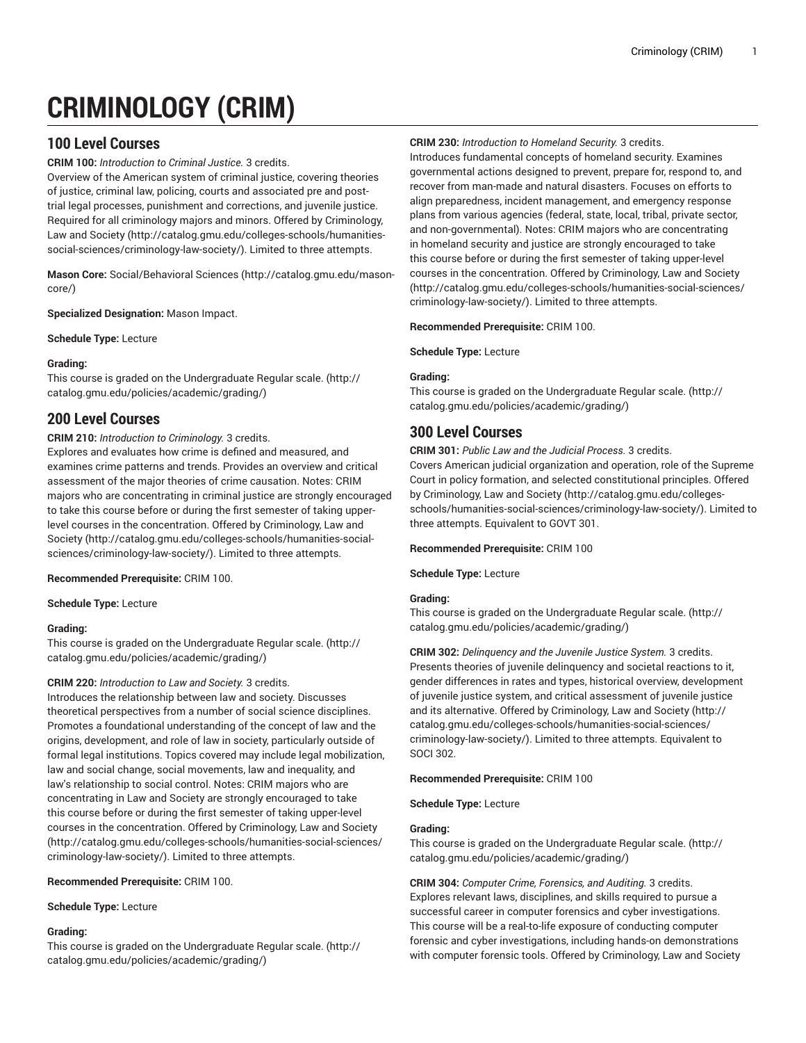# **CRIMINOLOGY (CRIM)**

# **100 Level Courses**

**CRIM 100:** *Introduction to Criminal Justice.* 3 credits.

Overview of the American system of criminal justice, covering theories of justice, criminal law, policing, courts and associated pre and posttrial legal processes, punishment and corrections, and juvenile justice. Required for all criminology majors and minors. Offered by [Criminology,](http://catalog.gmu.edu/colleges-schools/humanities-social-sciences/criminology-law-society/) [Law and Society](http://catalog.gmu.edu/colleges-schools/humanities-social-sciences/criminology-law-society/) ([http://catalog.gmu.edu/colleges-schools/humanities](http://catalog.gmu.edu/colleges-schools/humanities-social-sciences/criminology-law-society/)[social-sciences/criminology-law-society/\)](http://catalog.gmu.edu/colleges-schools/humanities-social-sciences/criminology-law-society/). Limited to three attempts.

**Mason Core:** [Social/Behavioral](http://catalog.gmu.edu/mason-core/) Sciences ([http://catalog.gmu.edu/mason](http://catalog.gmu.edu/mason-core/)[core/\)](http://catalog.gmu.edu/mason-core/)

**Specialized Designation:** Mason Impact.

**Schedule Type:** Lecture

## **Grading:**

This course is graded on the [Undergraduate](http://catalog.gmu.edu/policies/academic/grading/) Regular scale. ([http://](http://catalog.gmu.edu/policies/academic/grading/) [catalog.gmu.edu/policies/academic/grading/\)](http://catalog.gmu.edu/policies/academic/grading/)

# **200 Level Courses**

## **CRIM 210:** *Introduction to Criminology.* 3 credits.

Explores and evaluates how crime is defined and measured, and examines crime patterns and trends. Provides an overview and critical assessment of the major theories of crime causation. Notes: CRIM majors who are concentrating in criminal justice are strongly encouraged to take this course before or during the first semester of taking upperlevel courses in the concentration. Offered by [Criminology,](http://catalog.gmu.edu/colleges-schools/humanities-social-sciences/criminology-law-society/) Law and [Society \(http://catalog.gmu.edu/colleges-schools/humanities-social](http://catalog.gmu.edu/colleges-schools/humanities-social-sciences/criminology-law-society/)[sciences/criminology-law-society/](http://catalog.gmu.edu/colleges-schools/humanities-social-sciences/criminology-law-society/)). Limited to three attempts.

### **Recommended Prerequisite:** CRIM 100.

**Schedule Type:** Lecture

## **Grading:**

This course is graded on the [Undergraduate](http://catalog.gmu.edu/policies/academic/grading/) Regular scale. ([http://](http://catalog.gmu.edu/policies/academic/grading/) [catalog.gmu.edu/policies/academic/grading/\)](http://catalog.gmu.edu/policies/academic/grading/)

## **CRIM 220:** *Introduction to Law and Society.* 3 credits.

Introduces the relationship between law and society. Discusses theoretical perspectives from a number of social science disciplines. Promotes a foundational understanding of the concept of law and the origins, development, and role of law in society, particularly outside of formal legal institutions. Topics covered may include legal mobilization, law and social change, social movements, law and inequality, and law's relationship to social control. Notes: CRIM majors who are concentrating in Law and Society are strongly encouraged to take this course before or during the first semester of taking upper-level courses in the concentration. Offered by [Criminology,](http://catalog.gmu.edu/colleges-schools/humanities-social-sciences/criminology-law-society/) Law and Society ([http://catalog.gmu.edu/colleges-schools/humanities-social-sciences/](http://catalog.gmu.edu/colleges-schools/humanities-social-sciences/criminology-law-society/) [criminology-law-society/](http://catalog.gmu.edu/colleges-schools/humanities-social-sciences/criminology-law-society/)). Limited to three attempts.

### **Recommended Prerequisite:** CRIM 100.

**Schedule Type:** Lecture

### **Grading:**

This course is graded on the [Undergraduate](http://catalog.gmu.edu/policies/academic/grading/) Regular scale. ([http://](http://catalog.gmu.edu/policies/academic/grading/) [catalog.gmu.edu/policies/academic/grading/\)](http://catalog.gmu.edu/policies/academic/grading/)

## **CRIM 230:** *Introduction to Homeland Security.* 3 credits.

Introduces fundamental concepts of homeland security. Examines governmental actions designed to prevent, prepare for, respond to, and recover from man-made and natural disasters. Focuses on efforts to align preparedness, incident management, and emergency response plans from various agencies (federal, state, local, tribal, private sector, and non-governmental). Notes: CRIM majors who are concentrating in homeland security and justice are strongly encouraged to take this course before or during the first semester of taking upper-level courses in the concentration. Offered by [Criminology,](http://catalog.gmu.edu/colleges-schools/humanities-social-sciences/criminology-law-society/) Law and Society [\(http://catalog.gmu.edu/colleges-schools/humanities-social-sciences/](http://catalog.gmu.edu/colleges-schools/humanities-social-sciences/criminology-law-society/) [criminology-law-society/\)](http://catalog.gmu.edu/colleges-schools/humanities-social-sciences/criminology-law-society/). Limited to three attempts.

**Recommended Prerequisite:** CRIM 100.

## **Schedule Type:** Lecture

## **Grading:**

This course is graded on the [Undergraduate](http://catalog.gmu.edu/policies/academic/grading/) Regular scale. ([http://](http://catalog.gmu.edu/policies/academic/grading/) [catalog.gmu.edu/policies/academic/grading/](http://catalog.gmu.edu/policies/academic/grading/))

# **300 Level Courses**

**CRIM 301:** *Public Law and the Judicial Process.* 3 credits. Covers American judicial organization and operation, role of the Supreme Court in policy formation, and selected constitutional principles. Offered by [Criminology,](http://catalog.gmu.edu/colleges-schools/humanities-social-sciences/criminology-law-society/) Law and Society [\(http://catalog.gmu.edu/colleges](http://catalog.gmu.edu/colleges-schools/humanities-social-sciences/criminology-law-society/)[schools/humanities-social-sciences/criminology-law-society/](http://catalog.gmu.edu/colleges-schools/humanities-social-sciences/criminology-law-society/)). Limited to three attempts. Equivalent to GOVT 301.

### **Recommended Prerequisite:** CRIM 100

### **Schedule Type:** Lecture

### **Grading:**

This course is graded on the [Undergraduate](http://catalog.gmu.edu/policies/academic/grading/) Regular scale. ([http://](http://catalog.gmu.edu/policies/academic/grading/) [catalog.gmu.edu/policies/academic/grading/](http://catalog.gmu.edu/policies/academic/grading/))

**CRIM 302:** *Delinquency and the Juvenile Justice System.* 3 credits. Presents theories of juvenile delinquency and societal reactions to it, gender differences in rates and types, historical overview, development of juvenile justice system, and critical assessment of juvenile justice and its alternative. Offered by [Criminology,](http://catalog.gmu.edu/colleges-schools/humanities-social-sciences/criminology-law-society/) Law and Society [\(http://](http://catalog.gmu.edu/colleges-schools/humanities-social-sciences/criminology-law-society/) [catalog.gmu.edu/colleges-schools/humanities-social-sciences/](http://catalog.gmu.edu/colleges-schools/humanities-social-sciences/criminology-law-society/) [criminology-law-society/\)](http://catalog.gmu.edu/colleges-schools/humanities-social-sciences/criminology-law-society/). Limited to three attempts. Equivalent to SOCI 302.

### **Recommended Prerequisite:** CRIM 100

**Schedule Type:** Lecture

### **Grading:**

This course is graded on the [Undergraduate](http://catalog.gmu.edu/policies/academic/grading/) Regular scale. ([http://](http://catalog.gmu.edu/policies/academic/grading/) [catalog.gmu.edu/policies/academic/grading/](http://catalog.gmu.edu/policies/academic/grading/))

**CRIM 304:** *Computer Crime, Forensics, and Auditing.* 3 credits. Explores relevant laws, disciplines, and skills required to pursue a successful career in computer forensics and cyber investigations. This course will be a real-to-life exposure of conducting computer forensic and cyber investigations, including hands-on demonstrations with computer forensic tools. Offered by [Criminology,](http://catalog.gmu.edu/colleges-schools/humanities-social-sciences/criminology-law-society/) Law and Society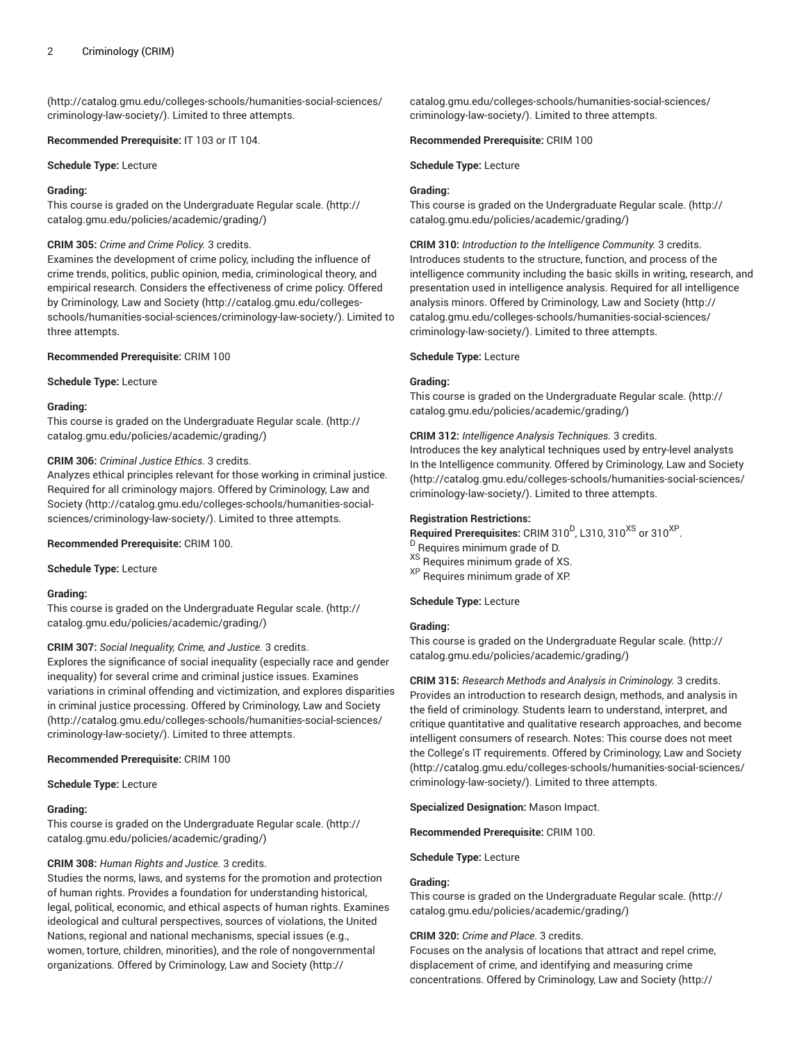([http://catalog.gmu.edu/colleges-schools/humanities-social-sciences/](http://catalog.gmu.edu/colleges-schools/humanities-social-sciences/criminology-law-society/) [criminology-law-society/](http://catalog.gmu.edu/colleges-schools/humanities-social-sciences/criminology-law-society/)). Limited to three attempts.

**Recommended Prerequisite:** IT 103 or IT 104.

**Schedule Type:** Lecture

### **Grading:**

This course is graded on the [Undergraduate](http://catalog.gmu.edu/policies/academic/grading/) Regular scale. ([http://](http://catalog.gmu.edu/policies/academic/grading/) [catalog.gmu.edu/policies/academic/grading/\)](http://catalog.gmu.edu/policies/academic/grading/)

#### **CRIM 305:** *Crime and Crime Policy.* 3 credits.

Examines the development of crime policy, including the influence of crime trends, politics, public opinion, media, criminological theory, and empirical research. Considers the effectiveness of crime policy. Offered by [Criminology,](http://catalog.gmu.edu/colleges-schools/humanities-social-sciences/criminology-law-society/) Law and Society [\(http://catalog.gmu.edu/colleges](http://catalog.gmu.edu/colleges-schools/humanities-social-sciences/criminology-law-society/)[schools/humanities-social-sciences/criminology-law-society/\)](http://catalog.gmu.edu/colleges-schools/humanities-social-sciences/criminology-law-society/). Limited to three attempts.

#### **Recommended Prerequisite:** CRIM 100

**Schedule Type:** Lecture

#### **Grading:**

This course is graded on the [Undergraduate](http://catalog.gmu.edu/policies/academic/grading/) Regular scale. ([http://](http://catalog.gmu.edu/policies/academic/grading/) [catalog.gmu.edu/policies/academic/grading/\)](http://catalog.gmu.edu/policies/academic/grading/)

### **CRIM 306:** *Criminal Justice Ethics.* 3 credits.

Analyzes ethical principles relevant for those working in criminal justice. Required for all criminology majors. Offered by [Criminology,](http://catalog.gmu.edu/colleges-schools/humanities-social-sciences/criminology-law-society/) Law and [Society \(http://catalog.gmu.edu/colleges-schools/humanities-social](http://catalog.gmu.edu/colleges-schools/humanities-social-sciences/criminology-law-society/)[sciences/criminology-law-society/](http://catalog.gmu.edu/colleges-schools/humanities-social-sciences/criminology-law-society/)). Limited to three attempts.

## **Recommended Prerequisite:** CRIM 100.

**Schedule Type:** Lecture

#### **Grading:**

This course is graded on the [Undergraduate](http://catalog.gmu.edu/policies/academic/grading/) Regular scale. ([http://](http://catalog.gmu.edu/policies/academic/grading/) [catalog.gmu.edu/policies/academic/grading/\)](http://catalog.gmu.edu/policies/academic/grading/)

### **CRIM 307:** *Social Inequality, Crime, and Justice.* 3 credits.

Explores the significance of social inequality (especially race and gender inequality) for several crime and criminal justice issues. Examines variations in criminal offending and victimization, and explores disparities in criminal justice processing. Offered by [Criminology,](http://catalog.gmu.edu/colleges-schools/humanities-social-sciences/criminology-law-society/) Law and Society ([http://catalog.gmu.edu/colleges-schools/humanities-social-sciences/](http://catalog.gmu.edu/colleges-schools/humanities-social-sciences/criminology-law-society/) [criminology-law-society/](http://catalog.gmu.edu/colleges-schools/humanities-social-sciences/criminology-law-society/)). Limited to three attempts.

### **Recommended Prerequisite:** CRIM 100

**Schedule Type:** Lecture

#### **Grading:**

This course is graded on the [Undergraduate](http://catalog.gmu.edu/policies/academic/grading/) Regular scale. ([http://](http://catalog.gmu.edu/policies/academic/grading/) [catalog.gmu.edu/policies/academic/grading/\)](http://catalog.gmu.edu/policies/academic/grading/)

### **CRIM 308:** *Human Rights and Justice.* 3 credits.

Studies the norms, laws, and systems for the promotion and protection of human rights. Provides a foundation for understanding historical, legal, political, economic, and ethical aspects of human rights. Examines ideological and cultural perspectives, sources of violations, the United Nations, regional and national mechanisms, special issues (e.g., women, torture, children, minorities), and the role of nongovernmental organizations. Offered by [Criminology,](http://catalog.gmu.edu/colleges-schools/humanities-social-sciences/criminology-law-society/) Law and Society ([http://](http://catalog.gmu.edu/colleges-schools/humanities-social-sciences/criminology-law-society/)

[catalog.gmu.edu/colleges-schools/humanities-social-sciences/](http://catalog.gmu.edu/colleges-schools/humanities-social-sciences/criminology-law-society/) [criminology-law-society/\)](http://catalog.gmu.edu/colleges-schools/humanities-social-sciences/criminology-law-society/). Limited to three attempts.

#### **Recommended Prerequisite:** CRIM 100

**Schedule Type:** Lecture

## **Grading:**

This course is graded on the [Undergraduate](http://catalog.gmu.edu/policies/academic/grading/) Regular scale. ([http://](http://catalog.gmu.edu/policies/academic/grading/) [catalog.gmu.edu/policies/academic/grading/](http://catalog.gmu.edu/policies/academic/grading/))

**CRIM 310:** *Introduction to the Intelligence Community.* 3 credits. Introduces students to the structure, function, and process of the intelligence community including the basic skills in writing, research, and presentation used in intelligence analysis. Required for all intelligence analysis minors. Offered by [Criminology,](http://catalog.gmu.edu/colleges-schools/humanities-social-sciences/criminology-law-society/) Law and Society ([http://](http://catalog.gmu.edu/colleges-schools/humanities-social-sciences/criminology-law-society/) [catalog.gmu.edu/colleges-schools/humanities-social-sciences/](http://catalog.gmu.edu/colleges-schools/humanities-social-sciences/criminology-law-society/) [criminology-law-society/\)](http://catalog.gmu.edu/colleges-schools/humanities-social-sciences/criminology-law-society/). Limited to three attempts.

#### **Schedule Type:** Lecture

#### **Grading:**

This course is graded on the [Undergraduate](http://catalog.gmu.edu/policies/academic/grading/) Regular scale. ([http://](http://catalog.gmu.edu/policies/academic/grading/) [catalog.gmu.edu/policies/academic/grading/](http://catalog.gmu.edu/policies/academic/grading/))

### **CRIM 312:** *Intelligence Analysis Techniques.* 3 credits.

Introduces the key analytical techniques used by entry-level analysts In the Intelligence community. Offered by [Criminology,](http://catalog.gmu.edu/colleges-schools/humanities-social-sciences/criminology-law-society/) Law and Society [\(http://catalog.gmu.edu/colleges-schools/humanities-social-sciences/](http://catalog.gmu.edu/colleges-schools/humanities-social-sciences/criminology-law-society/) [criminology-law-society/\)](http://catalog.gmu.edu/colleges-schools/humanities-social-sciences/criminology-law-society/). Limited to three attempts.

#### **Registration Restrictions:**

Required Prerequisites: CRIM 310<sup>D</sup>, L310, 310<sup>XS</sup> or 310<sup>XP</sup>.

- <sup>D</sup> Requires minimum grade of D.
- XS Requires minimum grade of XS.
- XP Requires minimum grade of XP.

### **Schedule Type:** Lecture

## **Grading:**

This course is graded on the [Undergraduate](http://catalog.gmu.edu/policies/academic/grading/) Regular scale. ([http://](http://catalog.gmu.edu/policies/academic/grading/) [catalog.gmu.edu/policies/academic/grading/](http://catalog.gmu.edu/policies/academic/grading/))

**CRIM 315:** *Research Methods and Analysis in Criminology.* 3 credits. Provides an introduction to research design, methods, and analysis in the field of criminology. Students learn to understand, interpret, and critique quantitative and qualitative research approaches, and become intelligent consumers of research. Notes: This course does not meet the College's IT requirements. Offered by [Criminology,](http://catalog.gmu.edu/colleges-schools/humanities-social-sciences/criminology-law-society/) Law and Society [\(http://catalog.gmu.edu/colleges-schools/humanities-social-sciences/](http://catalog.gmu.edu/colleges-schools/humanities-social-sciences/criminology-law-society/) [criminology-law-society/\)](http://catalog.gmu.edu/colleges-schools/humanities-social-sciences/criminology-law-society/). Limited to three attempts.

**Specialized Designation:** Mason Impact.

**Recommended Prerequisite:** CRIM 100.

**Schedule Type:** Lecture

### **Grading:**

This course is graded on the [Undergraduate](http://catalog.gmu.edu/policies/academic/grading/) Regular scale. ([http://](http://catalog.gmu.edu/policies/academic/grading/) [catalog.gmu.edu/policies/academic/grading/](http://catalog.gmu.edu/policies/academic/grading/))

### **CRIM 320:** *Crime and Place.* 3 credits.

Focuses on the analysis of locations that attract and repel crime, displacement of crime, and identifying and measuring crime concentrations. Offered by [Criminology,](http://catalog.gmu.edu/colleges-schools/humanities-social-sciences/criminology-law-society/) Law and Society [\(http://](http://catalog.gmu.edu/colleges-schools/humanities-social-sciences/criminology-law-society/)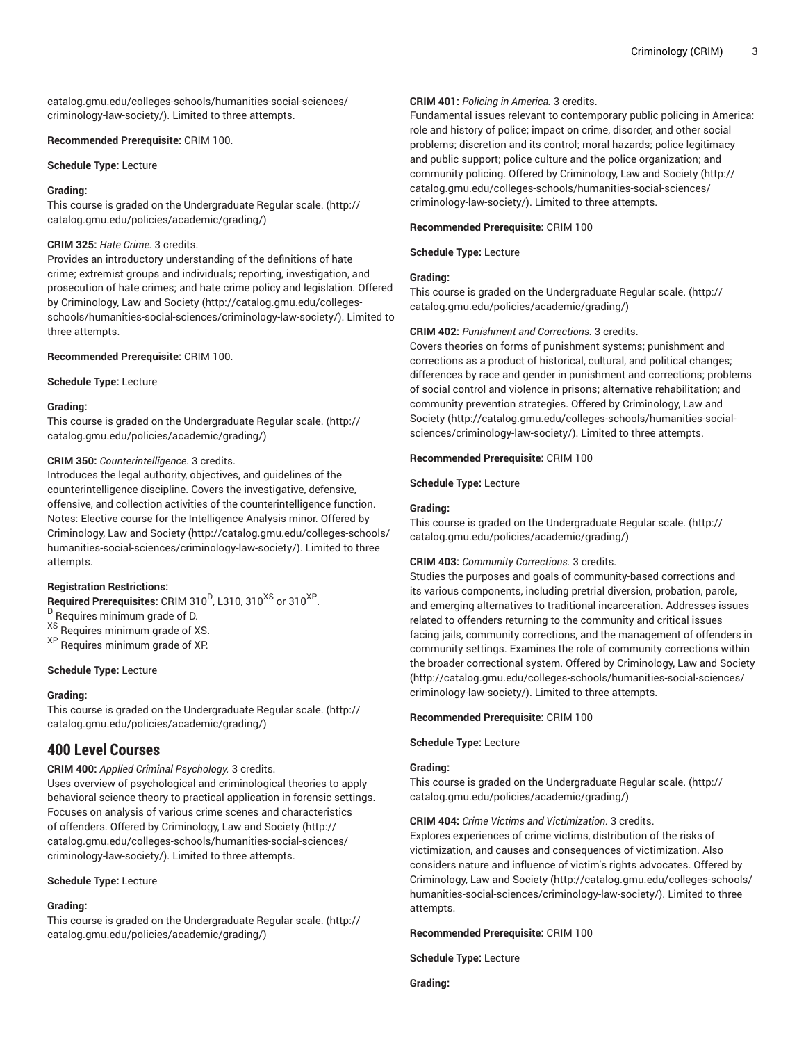[catalog.gmu.edu/colleges-schools/humanities-social-sciences/](http://catalog.gmu.edu/colleges-schools/humanities-social-sciences/criminology-law-society/) [criminology-law-society/](http://catalog.gmu.edu/colleges-schools/humanities-social-sciences/criminology-law-society/)). Limited to three attempts.

## **Recommended Prerequisite:** CRIM 100.

## **Schedule Type:** Lecture

## **Grading:**

This course is graded on the [Undergraduate](http://catalog.gmu.edu/policies/academic/grading/) Regular scale. ([http://](http://catalog.gmu.edu/policies/academic/grading/) [catalog.gmu.edu/policies/academic/grading/\)](http://catalog.gmu.edu/policies/academic/grading/)

## **CRIM 325:** *Hate Crime.* 3 credits.

Provides an introductory understanding of the definitions of hate crime; extremist groups and individuals; reporting, investigation, and prosecution of hate crimes; and hate crime policy and legislation. Offered by [Criminology,](http://catalog.gmu.edu/colleges-schools/humanities-social-sciences/criminology-law-society/) Law and Society [\(http://catalog.gmu.edu/colleges](http://catalog.gmu.edu/colleges-schools/humanities-social-sciences/criminology-law-society/)[schools/humanities-social-sciences/criminology-law-society/\)](http://catalog.gmu.edu/colleges-schools/humanities-social-sciences/criminology-law-society/). Limited to three attempts.

## **Recommended Prerequisite:** CRIM 100.

**Schedule Type:** Lecture

## **Grading:**

This course is graded on the [Undergraduate](http://catalog.gmu.edu/policies/academic/grading/) Regular scale. ([http://](http://catalog.gmu.edu/policies/academic/grading/) [catalog.gmu.edu/policies/academic/grading/\)](http://catalog.gmu.edu/policies/academic/grading/)

## **CRIM 350:** *Counterintelligence.* 3 credits.

Introduces the legal authority, objectives, and guidelines of the counterintelligence discipline. Covers the investigative, defensive, offensive, and collection activities of the counterintelligence function. Notes: Elective course for the Intelligence Analysis minor. Offered by [Criminology,](http://catalog.gmu.edu/colleges-schools/humanities-social-sciences/criminology-law-society/) Law and Society ([http://catalog.gmu.edu/colleges-schools/](http://catalog.gmu.edu/colleges-schools/humanities-social-sciences/criminology-law-society/) [humanities-social-sciences/criminology-law-society/](http://catalog.gmu.edu/colleges-schools/humanities-social-sciences/criminology-law-society/)). Limited to three attempts.

## **Registration Restrictions:**

 $\mathsf{\mathsf{Required} Pre requires:}$  CRIM 310<sup>D</sup>, L310, 310<sup>XS</sup> or 310<sup>XP</sup>. <sup>D</sup> Requires minimum grade of D. XS Requires minimum grade of XS.

XP Requires minimum grade of XP.

## **Schedule Type:** Lecture

## **Grading:**

This course is graded on the [Undergraduate](http://catalog.gmu.edu/policies/academic/grading/) Regular scale. ([http://](http://catalog.gmu.edu/policies/academic/grading/) [catalog.gmu.edu/policies/academic/grading/\)](http://catalog.gmu.edu/policies/academic/grading/)

# **400 Level Courses**

**CRIM 400:** *Applied Criminal Psychology.* 3 credits.

Uses overview of psychological and criminological theories to apply behavioral science theory to practical application in forensic settings. Focuses on analysis of various crime scenes and characteristics of offenders. Offered by [Criminology,](http://catalog.gmu.edu/colleges-schools/humanities-social-sciences/criminology-law-society/) Law and Society [\(http://](http://catalog.gmu.edu/colleges-schools/humanities-social-sciences/criminology-law-society/) [catalog.gmu.edu/colleges-schools/humanities-social-sciences/](http://catalog.gmu.edu/colleges-schools/humanities-social-sciences/criminology-law-society/) [criminology-law-society/](http://catalog.gmu.edu/colleges-schools/humanities-social-sciences/criminology-law-society/)). Limited to three attempts.

## **Schedule Type:** Lecture

# **Grading:**

This course is graded on the [Undergraduate](http://catalog.gmu.edu/policies/academic/grading/) Regular scale. ([http://](http://catalog.gmu.edu/policies/academic/grading/) [catalog.gmu.edu/policies/academic/grading/\)](http://catalog.gmu.edu/policies/academic/grading/)

# **CRIM 401:** *Policing in America.* 3 credits.

Fundamental issues relevant to contemporary public policing in America: role and history of police; impact on crime, disorder, and other social problems; discretion and its control; moral hazards; police legitimacy and public support; police culture and the police organization; and community policing. Offered by [Criminology,](http://catalog.gmu.edu/colleges-schools/humanities-social-sciences/criminology-law-society/) Law and Society [\(http://](http://catalog.gmu.edu/colleges-schools/humanities-social-sciences/criminology-law-society/) [catalog.gmu.edu/colleges-schools/humanities-social-sciences/](http://catalog.gmu.edu/colleges-schools/humanities-social-sciences/criminology-law-society/) [criminology-law-society/\)](http://catalog.gmu.edu/colleges-schools/humanities-social-sciences/criminology-law-society/). Limited to three attempts.

### **Recommended Prerequisite:** CRIM 100

**Schedule Type:** Lecture

## **Grading:**

This course is graded on the [Undergraduate](http://catalog.gmu.edu/policies/academic/grading/) Regular scale. ([http://](http://catalog.gmu.edu/policies/academic/grading/) [catalog.gmu.edu/policies/academic/grading/](http://catalog.gmu.edu/policies/academic/grading/))

## **CRIM 402:** *Punishment and Corrections.* 3 credits.

Covers theories on forms of punishment systems; punishment and corrections as a product of historical, cultural, and political changes; differences by race and gender in punishment and corrections; problems of social control and violence in prisons; alternative rehabilitation; and community prevention strategies. Offered by [Criminology,](http://catalog.gmu.edu/colleges-schools/humanities-social-sciences/criminology-law-society/) Law and [Society](http://catalog.gmu.edu/colleges-schools/humanities-social-sciences/criminology-law-society/) ([http://catalog.gmu.edu/colleges-schools/humanities-social](http://catalog.gmu.edu/colleges-schools/humanities-social-sciences/criminology-law-society/)[sciences/criminology-law-society/\)](http://catalog.gmu.edu/colleges-schools/humanities-social-sciences/criminology-law-society/). Limited to three attempts.

## **Recommended Prerequisite:** CRIM 100

## **Schedule Type:** Lecture

## **Grading:**

This course is graded on the [Undergraduate](http://catalog.gmu.edu/policies/academic/grading/) Regular scale. ([http://](http://catalog.gmu.edu/policies/academic/grading/) [catalog.gmu.edu/policies/academic/grading/](http://catalog.gmu.edu/policies/academic/grading/))

## **CRIM 403:** *Community Corrections.* 3 credits.

Studies the purposes and goals of community-based corrections and its various components, including pretrial diversion, probation, parole, and emerging alternatives to traditional incarceration. Addresses issues related to offenders returning to the community and critical issues facing jails, community corrections, and the management of offenders in community settings. Examines the role of community corrections within the broader correctional system. Offered by [Criminology,](http://catalog.gmu.edu/colleges-schools/humanities-social-sciences/criminology-law-society/) Law and Society [\(http://catalog.gmu.edu/colleges-schools/humanities-social-sciences/](http://catalog.gmu.edu/colleges-schools/humanities-social-sciences/criminology-law-society/) [criminology-law-society/\)](http://catalog.gmu.edu/colleges-schools/humanities-social-sciences/criminology-law-society/). Limited to three attempts.

**Recommended Prerequisite:** CRIM 100

### **Schedule Type:** Lecture

## **Grading:**

This course is graded on the [Undergraduate](http://catalog.gmu.edu/policies/academic/grading/) Regular scale. ([http://](http://catalog.gmu.edu/policies/academic/grading/) [catalog.gmu.edu/policies/academic/grading/](http://catalog.gmu.edu/policies/academic/grading/))

**CRIM 404:** *Crime Victims and Victimization.* 3 credits.

Explores experiences of crime victims, distribution of the risks of victimization, and causes and consequences of victimization. Also considers nature and influence of victim's rights advocates. Offered by [Criminology,](http://catalog.gmu.edu/colleges-schools/humanities-social-sciences/criminology-law-society/) Law and Society ([http://catalog.gmu.edu/colleges-schools/](http://catalog.gmu.edu/colleges-schools/humanities-social-sciences/criminology-law-society/) [humanities-social-sciences/criminology-law-society/\)](http://catalog.gmu.edu/colleges-schools/humanities-social-sciences/criminology-law-society/). Limited to three attempts.

**Recommended Prerequisite:** CRIM 100

**Schedule Type:** Lecture

**Grading:**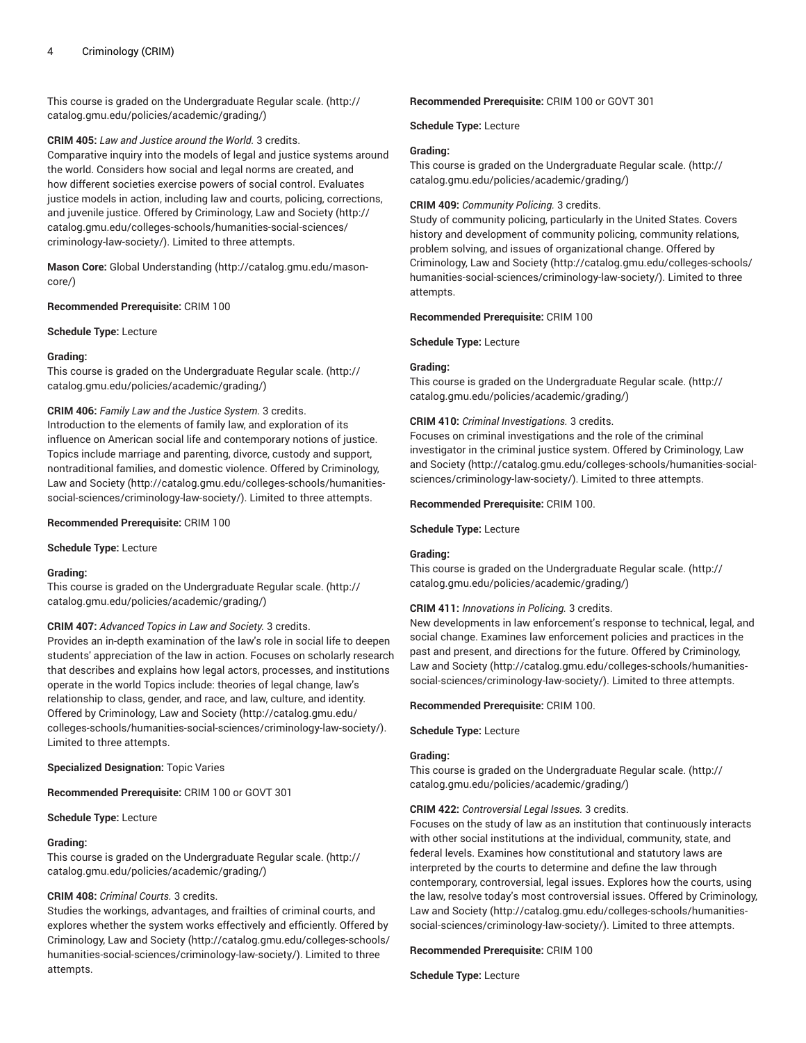This course is graded on the [Undergraduate](http://catalog.gmu.edu/policies/academic/grading/) Regular scale. ([http://](http://catalog.gmu.edu/policies/academic/grading/) [catalog.gmu.edu/policies/academic/grading/\)](http://catalog.gmu.edu/policies/academic/grading/)

### **CRIM 405:** *Law and Justice around the World.* 3 credits.

Comparative inquiry into the models of legal and justice systems around the world. Considers how social and legal norms are created, and how different societies exercise powers of social control. Evaluates justice models in action, including law and courts, policing, corrections, and juvenile justice. Offered by [Criminology,](http://catalog.gmu.edu/colleges-schools/humanities-social-sciences/criminology-law-society/) Law and Society ([http://](http://catalog.gmu.edu/colleges-schools/humanities-social-sciences/criminology-law-society/) [catalog.gmu.edu/colleges-schools/humanities-social-sciences/](http://catalog.gmu.edu/colleges-schools/humanities-social-sciences/criminology-law-society/) [criminology-law-society/](http://catalog.gmu.edu/colleges-schools/humanities-social-sciences/criminology-law-society/)). Limited to three attempts.

**Mason Core:** [Global Understanding](http://catalog.gmu.edu/mason-core/) ([http://catalog.gmu.edu/mason](http://catalog.gmu.edu/mason-core/)[core/\)](http://catalog.gmu.edu/mason-core/)

**Recommended Prerequisite:** CRIM 100

**Schedule Type:** Lecture

### **Grading:**

This course is graded on the [Undergraduate](http://catalog.gmu.edu/policies/academic/grading/) Regular scale. ([http://](http://catalog.gmu.edu/policies/academic/grading/) [catalog.gmu.edu/policies/academic/grading/\)](http://catalog.gmu.edu/policies/academic/grading/)

## **CRIM 406:** *Family Law and the Justice System.* 3 credits.

Introduction to the elements of family law, and exploration of its influence on American social life and contemporary notions of justice. Topics include marriage and parenting, divorce, custody and support, nontraditional families, and domestic violence. Offered by [Criminology,](http://catalog.gmu.edu/colleges-schools/humanities-social-sciences/criminology-law-society/) [Law and Society](http://catalog.gmu.edu/colleges-schools/humanities-social-sciences/criminology-law-society/) ([http://catalog.gmu.edu/colleges-schools/humanities](http://catalog.gmu.edu/colleges-schools/humanities-social-sciences/criminology-law-society/)[social-sciences/criminology-law-society/\)](http://catalog.gmu.edu/colleges-schools/humanities-social-sciences/criminology-law-society/). Limited to three attempts.

### **Recommended Prerequisite:** CRIM 100

**Schedule Type:** Lecture

### **Grading:**

This course is graded on the [Undergraduate](http://catalog.gmu.edu/policies/academic/grading/) Regular scale. ([http://](http://catalog.gmu.edu/policies/academic/grading/) [catalog.gmu.edu/policies/academic/grading/\)](http://catalog.gmu.edu/policies/academic/grading/)

### **CRIM 407:** *Advanced Topics in Law and Society.* 3 credits.

Provides an in-depth examination of the law's role in social life to deepen students' appreciation of the law in action. Focuses on scholarly research that describes and explains how legal actors, processes, and institutions operate in the world Topics include: theories of legal change, law's relationship to class, gender, and race, and law, culture, and identity. Offered by [Criminology,](http://catalog.gmu.edu/colleges-schools/humanities-social-sciences/criminology-law-society/) Law and Society ([http://catalog.gmu.edu/](http://catalog.gmu.edu/colleges-schools/humanities-social-sciences/criminology-law-society/) [colleges-schools/humanities-social-sciences/criminology-law-society/](http://catalog.gmu.edu/colleges-schools/humanities-social-sciences/criminology-law-society/)). Limited to three attempts.

### **Specialized Designation:** Topic Varies

**Recommended Prerequisite:** CRIM 100 or GOVT 301

### **Schedule Type:** Lecture

### **Grading:**

This course is graded on the [Undergraduate](http://catalog.gmu.edu/policies/academic/grading/) Regular scale. ([http://](http://catalog.gmu.edu/policies/academic/grading/) [catalog.gmu.edu/policies/academic/grading/\)](http://catalog.gmu.edu/policies/academic/grading/)

## **CRIM 408:** *Criminal Courts.* 3 credits.

Studies the workings, advantages, and frailties of criminal courts, and explores whether the system works effectively and efficiently. Offered by [Criminology,](http://catalog.gmu.edu/colleges-schools/humanities-social-sciences/criminology-law-society/) Law and Society ([http://catalog.gmu.edu/colleges-schools/](http://catalog.gmu.edu/colleges-schools/humanities-social-sciences/criminology-law-society/) [humanities-social-sciences/criminology-law-society/](http://catalog.gmu.edu/colleges-schools/humanities-social-sciences/criminology-law-society/)). Limited to three attempts.

#### **Recommended Prerequisite:** CRIM 100 or GOVT 301

**Schedule Type:** Lecture

## **Grading:**

This course is graded on the [Undergraduate](http://catalog.gmu.edu/policies/academic/grading/) Regular scale. ([http://](http://catalog.gmu.edu/policies/academic/grading/) [catalog.gmu.edu/policies/academic/grading/](http://catalog.gmu.edu/policies/academic/grading/))

### **CRIM 409:** *Community Policing.* 3 credits.

Study of community policing, particularly in the United States. Covers history and development of community policing, community relations, problem solving, and issues of organizational change. Offered by [Criminology,](http://catalog.gmu.edu/colleges-schools/humanities-social-sciences/criminology-law-society/) Law and Society ([http://catalog.gmu.edu/colleges-schools/](http://catalog.gmu.edu/colleges-schools/humanities-social-sciences/criminology-law-society/) [humanities-social-sciences/criminology-law-society/\)](http://catalog.gmu.edu/colleges-schools/humanities-social-sciences/criminology-law-society/). Limited to three attempts.

#### **Recommended Prerequisite:** CRIM 100

**Schedule Type:** Lecture

#### **Grading:**

This course is graded on the [Undergraduate](http://catalog.gmu.edu/policies/academic/grading/) Regular scale. ([http://](http://catalog.gmu.edu/policies/academic/grading/) [catalog.gmu.edu/policies/academic/grading/](http://catalog.gmu.edu/policies/academic/grading/))

#### **CRIM 410:** *Criminal Investigations.* 3 credits.

Focuses on criminal investigations and the role of the criminal investigator in the criminal justice system. Offered by [Criminology,](http://catalog.gmu.edu/colleges-schools/humanities-social-sciences/criminology-law-society/) Law [and Society \(http://catalog.gmu.edu/colleges-schools/humanities-social](http://catalog.gmu.edu/colleges-schools/humanities-social-sciences/criminology-law-society/)[sciences/criminology-law-society/\)](http://catalog.gmu.edu/colleges-schools/humanities-social-sciences/criminology-law-society/). Limited to three attempts.

#### **Recommended Prerequisite:** CRIM 100.

### **Schedule Type:** Lecture

### **Grading:**

This course is graded on the [Undergraduate](http://catalog.gmu.edu/policies/academic/grading/) Regular scale. ([http://](http://catalog.gmu.edu/policies/academic/grading/) [catalog.gmu.edu/policies/academic/grading/](http://catalog.gmu.edu/policies/academic/grading/))

## **CRIM 411:** *Innovations in Policing.* 3 credits.

New developments in law enforcement's response to technical, legal, and social change. Examines law enforcement policies and practices in the past and present, and directions for the future. Offered by [Criminology,](http://catalog.gmu.edu/colleges-schools/humanities-social-sciences/criminology-law-society/) [Law and Society](http://catalog.gmu.edu/colleges-schools/humanities-social-sciences/criminology-law-society/) [\(http://catalog.gmu.edu/colleges-schools/humanities](http://catalog.gmu.edu/colleges-schools/humanities-social-sciences/criminology-law-society/)[social-sciences/criminology-law-society/](http://catalog.gmu.edu/colleges-schools/humanities-social-sciences/criminology-law-society/)). Limited to three attempts.

#### **Recommended Prerequisite:** CRIM 100.

**Schedule Type:** Lecture

#### **Grading:**

This course is graded on the [Undergraduate](http://catalog.gmu.edu/policies/academic/grading/) Regular scale. ([http://](http://catalog.gmu.edu/policies/academic/grading/) [catalog.gmu.edu/policies/academic/grading/](http://catalog.gmu.edu/policies/academic/grading/))

#### **CRIM 422:** *Controversial Legal Issues.* 3 credits.

Focuses on the study of law as an institution that continuously interacts with other social institutions at the individual, community, state, and federal levels. Examines how constitutional and statutory laws are interpreted by the courts to determine and define the law through contemporary, controversial, legal issues. Explores how the courts, using the law, resolve today's most controversial issues. Offered by [Criminology,](http://catalog.gmu.edu/colleges-schools/humanities-social-sciences/criminology-law-society/) [Law and Society](http://catalog.gmu.edu/colleges-schools/humanities-social-sciences/criminology-law-society/) [\(http://catalog.gmu.edu/colleges-schools/humanities](http://catalog.gmu.edu/colleges-schools/humanities-social-sciences/criminology-law-society/)[social-sciences/criminology-law-society/](http://catalog.gmu.edu/colleges-schools/humanities-social-sciences/criminology-law-society/)). Limited to three attempts.

#### **Recommended Prerequisite:** CRIM 100

## **Schedule Type:** Lecture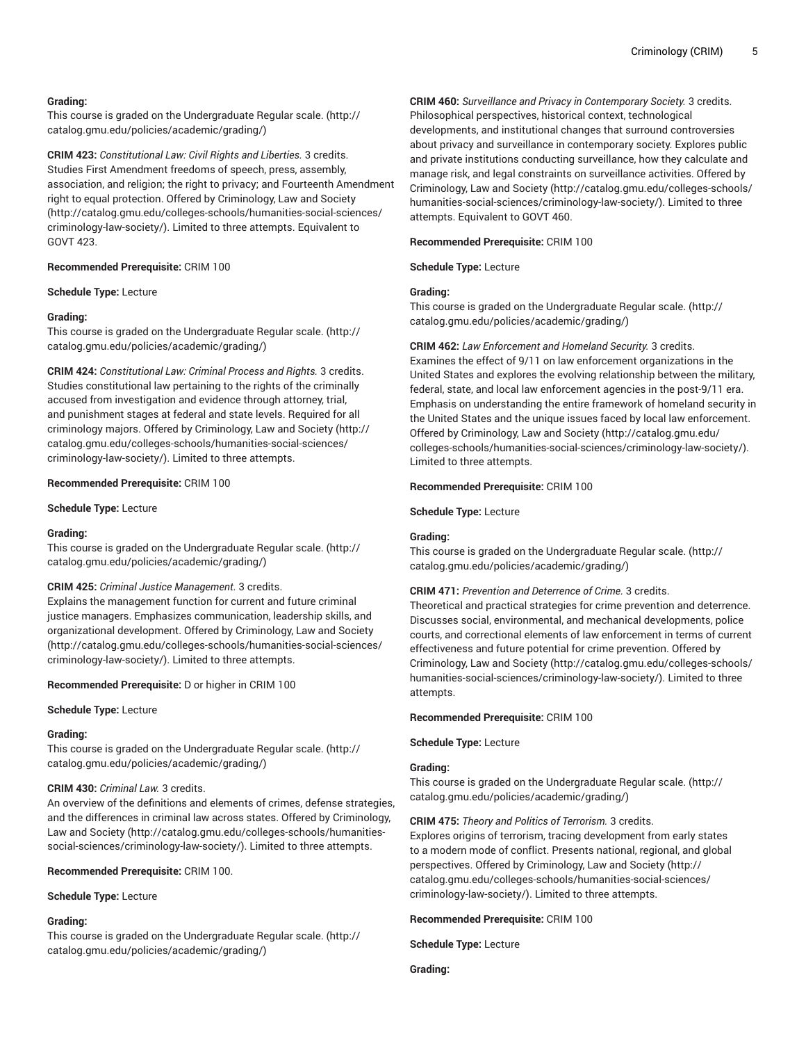## **Grading:**

This course is graded on the [Undergraduate](http://catalog.gmu.edu/policies/academic/grading/) Regular scale. ([http://](http://catalog.gmu.edu/policies/academic/grading/) [catalog.gmu.edu/policies/academic/grading/\)](http://catalog.gmu.edu/policies/academic/grading/)

**CRIM 423:** *Constitutional Law: Civil Rights and Liberties.* 3 credits. Studies First Amendment freedoms of speech, press, assembly, association, and religion; the right to privacy; and Fourteenth Amendment right to equal protection. Offered by [Criminology,](http://catalog.gmu.edu/colleges-schools/humanities-social-sciences/criminology-law-society/) Law and Society ([http://catalog.gmu.edu/colleges-schools/humanities-social-sciences/](http://catalog.gmu.edu/colleges-schools/humanities-social-sciences/criminology-law-society/) [criminology-law-society/](http://catalog.gmu.edu/colleges-schools/humanities-social-sciences/criminology-law-society/)). Limited to three attempts. Equivalent to GOVT 423.

#### **Recommended Prerequisite:** CRIM 100

#### **Schedule Type:** Lecture

## **Grading:**

This course is graded on the [Undergraduate](http://catalog.gmu.edu/policies/academic/grading/) Regular scale. ([http://](http://catalog.gmu.edu/policies/academic/grading/) [catalog.gmu.edu/policies/academic/grading/\)](http://catalog.gmu.edu/policies/academic/grading/)

**CRIM 424:** *Constitutional Law: Criminal Process and Rights.* 3 credits. Studies constitutional law pertaining to the rights of the criminally accused from investigation and evidence through attorney, trial, and punishment stages at federal and state levels. Required for all criminology majors. Offered by [Criminology,](http://catalog.gmu.edu/colleges-schools/humanities-social-sciences/criminology-law-society/) Law and Society ([http://](http://catalog.gmu.edu/colleges-schools/humanities-social-sciences/criminology-law-society/) [catalog.gmu.edu/colleges-schools/humanities-social-sciences/](http://catalog.gmu.edu/colleges-schools/humanities-social-sciences/criminology-law-society/) [criminology-law-society/](http://catalog.gmu.edu/colleges-schools/humanities-social-sciences/criminology-law-society/)). Limited to three attempts.

#### **Recommended Prerequisite:** CRIM 100

**Schedule Type:** Lecture

#### **Grading:**

This course is graded on the [Undergraduate](http://catalog.gmu.edu/policies/academic/grading/) Regular scale. ([http://](http://catalog.gmu.edu/policies/academic/grading/) [catalog.gmu.edu/policies/academic/grading/\)](http://catalog.gmu.edu/policies/academic/grading/)

### **CRIM 425:** *Criminal Justice Management.* 3 credits.

Explains the management function for current and future criminal justice managers. Emphasizes communication, leadership skills, and organizational development. Offered by [Criminology,](http://catalog.gmu.edu/colleges-schools/humanities-social-sciences/criminology-law-society/) Law and Society ([http://catalog.gmu.edu/colleges-schools/humanities-social-sciences/](http://catalog.gmu.edu/colleges-schools/humanities-social-sciences/criminology-law-society/) [criminology-law-society/](http://catalog.gmu.edu/colleges-schools/humanities-social-sciences/criminology-law-society/)). Limited to three attempts.

**Recommended Prerequisite:** D or higher in CRIM 100

#### **Schedule Type:** Lecture

#### **Grading:**

This course is graded on the [Undergraduate](http://catalog.gmu.edu/policies/academic/grading/) Regular scale. ([http://](http://catalog.gmu.edu/policies/academic/grading/) [catalog.gmu.edu/policies/academic/grading/\)](http://catalog.gmu.edu/policies/academic/grading/)

#### **CRIM 430:** *Criminal Law.* 3 credits.

An overview of the definitions and elements of crimes, defense strategies, and the differences in criminal law across states. Offered by [Criminology,](http://catalog.gmu.edu/colleges-schools/humanities-social-sciences/criminology-law-society/) [Law and Society](http://catalog.gmu.edu/colleges-schools/humanities-social-sciences/criminology-law-society/) ([http://catalog.gmu.edu/colleges-schools/humanities](http://catalog.gmu.edu/colleges-schools/humanities-social-sciences/criminology-law-society/)[social-sciences/criminology-law-society/\)](http://catalog.gmu.edu/colleges-schools/humanities-social-sciences/criminology-law-society/). Limited to three attempts.

#### **Recommended Prerequisite:** CRIM 100.

**Schedule Type:** Lecture

### **Grading:**

This course is graded on the [Undergraduate](http://catalog.gmu.edu/policies/academic/grading/) Regular scale. ([http://](http://catalog.gmu.edu/policies/academic/grading/) [catalog.gmu.edu/policies/academic/grading/\)](http://catalog.gmu.edu/policies/academic/grading/)

**CRIM 460:** *Surveillance and Privacy in Contemporary Society.* 3 credits. Philosophical perspectives, historical context, technological developments, and institutional changes that surround controversies about privacy and surveillance in contemporary society. Explores public and private institutions conducting surveillance, how they calculate and manage risk, and legal constraints on surveillance activities. Offered by [Criminology,](http://catalog.gmu.edu/colleges-schools/humanities-social-sciences/criminology-law-society/) Law and Society ([http://catalog.gmu.edu/colleges-schools/](http://catalog.gmu.edu/colleges-schools/humanities-social-sciences/criminology-law-society/) [humanities-social-sciences/criminology-law-society/\)](http://catalog.gmu.edu/colleges-schools/humanities-social-sciences/criminology-law-society/). Limited to three attempts. Equivalent to GOVT 460.

#### **Recommended Prerequisite:** CRIM 100

**Schedule Type:** Lecture

#### **Grading:**

This course is graded on the [Undergraduate](http://catalog.gmu.edu/policies/academic/grading/) Regular scale. ([http://](http://catalog.gmu.edu/policies/academic/grading/) [catalog.gmu.edu/policies/academic/grading/](http://catalog.gmu.edu/policies/academic/grading/))

## **CRIM 462:** *Law Enforcement and Homeland Security.* 3 credits.

Examines the effect of 9/11 on law enforcement organizations in the United States and explores the evolving relationship between the military, federal, state, and local law enforcement agencies in the post-9/11 era. Emphasis on understanding the entire framework of homeland security in the United States and the unique issues faced by local law enforcement. Offered by [Criminology,](http://catalog.gmu.edu/colleges-schools/humanities-social-sciences/criminology-law-society/) Law and Society ([http://catalog.gmu.edu/](http://catalog.gmu.edu/colleges-schools/humanities-social-sciences/criminology-law-society/) [colleges-schools/humanities-social-sciences/criminology-law-society/](http://catalog.gmu.edu/colleges-schools/humanities-social-sciences/criminology-law-society/)). Limited to three attempts.

#### **Recommended Prerequisite:** CRIM 100

**Schedule Type:** Lecture

## **Grading:**

This course is graded on the [Undergraduate](http://catalog.gmu.edu/policies/academic/grading/) Regular scale. ([http://](http://catalog.gmu.edu/policies/academic/grading/) [catalog.gmu.edu/policies/academic/grading/](http://catalog.gmu.edu/policies/academic/grading/))

#### **CRIM 471:** *Prevention and Deterrence of Crime.* 3 credits.

Theoretical and practical strategies for crime prevention and deterrence. Discusses social, environmental, and mechanical developments, police courts, and correctional elements of law enforcement in terms of current effectiveness and future potential for crime prevention. Offered by [Criminology,](http://catalog.gmu.edu/colleges-schools/humanities-social-sciences/criminology-law-society/) Law and Society ([http://catalog.gmu.edu/colleges-schools/](http://catalog.gmu.edu/colleges-schools/humanities-social-sciences/criminology-law-society/) [humanities-social-sciences/criminology-law-society/\)](http://catalog.gmu.edu/colleges-schools/humanities-social-sciences/criminology-law-society/). Limited to three attempts.

**Recommended Prerequisite:** CRIM 100

**Schedule Type:** Lecture

## **Grading:**

This course is graded on the [Undergraduate](http://catalog.gmu.edu/policies/academic/grading/) Regular scale. ([http://](http://catalog.gmu.edu/policies/academic/grading/) [catalog.gmu.edu/policies/academic/grading/](http://catalog.gmu.edu/policies/academic/grading/))

### **CRIM 475:** *Theory and Politics of Terrorism.* 3 credits.

Explores origins of terrorism, tracing development from early states to a modern mode of conflict. Presents national, regional, and global perspectives. Offered by [Criminology,](http://catalog.gmu.edu/colleges-schools/humanities-social-sciences/criminology-law-society/) Law and Society ([http://](http://catalog.gmu.edu/colleges-schools/humanities-social-sciences/criminology-law-society/) [catalog.gmu.edu/colleges-schools/humanities-social-sciences/](http://catalog.gmu.edu/colleges-schools/humanities-social-sciences/criminology-law-society/) [criminology-law-society/\)](http://catalog.gmu.edu/colleges-schools/humanities-social-sciences/criminology-law-society/). Limited to three attempts.

**Recommended Prerequisite:** CRIM 100

**Schedule Type:** Lecture

**Grading:**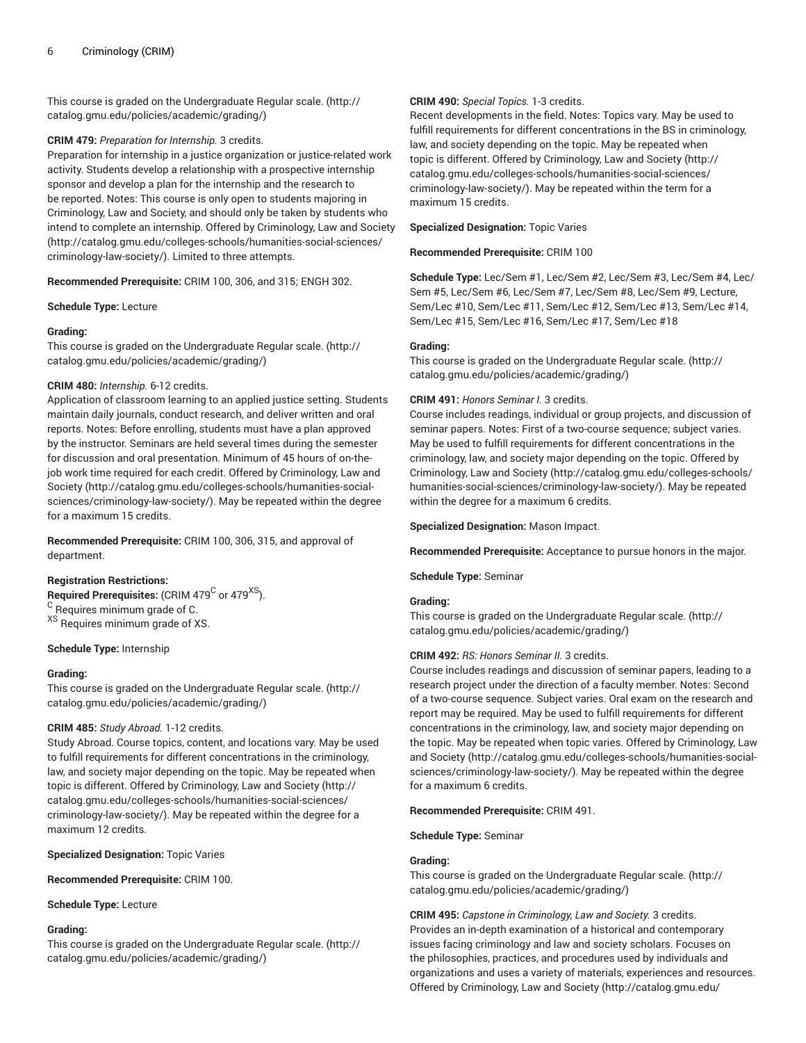This course is graded on the [Undergraduate](http://catalog.gmu.edu/policies/academic/grading/) Regular scale. ([http://](http://catalog.gmu.edu/policies/academic/grading/) [catalog.gmu.edu/policies/academic/grading/\)](http://catalog.gmu.edu/policies/academic/grading/)

### **CRIM 479:** *Preparation for Internship.* 3 credits.

Preparation for internship in a justice organization or justice-related work activity. Students develop a relationship with a prospective internship sponsor and develop a plan for the internship and the research to be reported. Notes: This course is only open to students majoring in Criminology, Law and Society, and should only be taken by students who intend to complete an internship. Offered by [Criminology,](http://catalog.gmu.edu/colleges-schools/humanities-social-sciences/criminology-law-society/) Law and Society ([http://catalog.gmu.edu/colleges-schools/humanities-social-sciences/](http://catalog.gmu.edu/colleges-schools/humanities-social-sciences/criminology-law-society/) [criminology-law-society/](http://catalog.gmu.edu/colleges-schools/humanities-social-sciences/criminology-law-society/)). Limited to three attempts.

**Recommended Prerequisite:** CRIM 100, 306, and 315; ENGH 302.

**Schedule Type:** Lecture

### **Grading:**

This course is graded on the [Undergraduate](http://catalog.gmu.edu/policies/academic/grading/) Regular scale. ([http://](http://catalog.gmu.edu/policies/academic/grading/) [catalog.gmu.edu/policies/academic/grading/\)](http://catalog.gmu.edu/policies/academic/grading/)

#### **CRIM 480:** *Internship.* 6-12 credits.

Application of classroom learning to an applied justice setting. Students maintain daily journals, conduct research, and deliver written and oral reports. Notes: Before enrolling, students must have a plan approved by the instructor. Seminars are held several times during the semester for discussion and oral presentation. Minimum of 45 hours of on-thejob work time required for each credit. Offered by [Criminology,](http://catalog.gmu.edu/colleges-schools/humanities-social-sciences/criminology-law-society/) Law and [Society \(http://catalog.gmu.edu/colleges-schools/humanities-social](http://catalog.gmu.edu/colleges-schools/humanities-social-sciences/criminology-law-society/)[sciences/criminology-law-society/](http://catalog.gmu.edu/colleges-schools/humanities-social-sciences/criminology-law-society/)). May be repeated within the degree for a maximum 15 credits.

**Recommended Prerequisite:** CRIM 100, 306, 315, and approval of department.

## **Registration Restrictions:**

 $\bm{\mathsf{Required} }$  Prerequisites: (CRIM 479 $^{\bm{\mathsf{C}}}$  or 479 $^{\bm{\mathsf{XS}})}.$ <sup>C</sup> Requires minimum grade of C. XS Requires minimum grade of XS.

#### **Schedule Type:** Internship

#### **Grading:**

This course is graded on the [Undergraduate](http://catalog.gmu.edu/policies/academic/grading/) Regular scale. ([http://](http://catalog.gmu.edu/policies/academic/grading/) [catalog.gmu.edu/policies/academic/grading/\)](http://catalog.gmu.edu/policies/academic/grading/)

#### **CRIM 485:** *Study Abroad.* 1-12 credits.

Study Abroad. Course topics, content, and locations vary. May be used to fulfill requirements for different concentrations in the criminology, law, and society major depending on the topic. May be repeated when topic is different. Offered by [Criminology,](http://catalog.gmu.edu/colleges-schools/humanities-social-sciences/criminology-law-society/) Law and Society [\(http://](http://catalog.gmu.edu/colleges-schools/humanities-social-sciences/criminology-law-society/) [catalog.gmu.edu/colleges-schools/humanities-social-sciences/](http://catalog.gmu.edu/colleges-schools/humanities-social-sciences/criminology-law-society/) [criminology-law-society/](http://catalog.gmu.edu/colleges-schools/humanities-social-sciences/criminology-law-society/)). May be repeated within the degree for a maximum 12 credits.

**Specialized Designation:** Topic Varies

**Recommended Prerequisite:** CRIM 100.

**Schedule Type:** Lecture

#### **Grading:**

This course is graded on the [Undergraduate](http://catalog.gmu.edu/policies/academic/grading/) Regular scale. ([http://](http://catalog.gmu.edu/policies/academic/grading/) [catalog.gmu.edu/policies/academic/grading/\)](http://catalog.gmu.edu/policies/academic/grading/)

#### **CRIM 490:** *Special Topics.* 1-3 credits.

Recent developments in the field. Notes: Topics vary. May be used to fulfill requirements for different concentrations in the BS in criminology, law, and society depending on the topic. May be repeated when topic is different. Offered by [Criminology,](http://catalog.gmu.edu/colleges-schools/humanities-social-sciences/criminology-law-society/) Law and Society ([http://](http://catalog.gmu.edu/colleges-schools/humanities-social-sciences/criminology-law-society/) [catalog.gmu.edu/colleges-schools/humanities-social-sciences/](http://catalog.gmu.edu/colleges-schools/humanities-social-sciences/criminology-law-society/) [criminology-law-society/\)](http://catalog.gmu.edu/colleges-schools/humanities-social-sciences/criminology-law-society/). May be repeated within the term for a maximum 15 credits.

**Specialized Designation:** Topic Varies

**Recommended Prerequisite:** CRIM 100

**Schedule Type:** Lec/Sem #1, Lec/Sem #2, Lec/Sem #3, Lec/Sem #4, Lec/ Sem #5, Lec/Sem #6, Lec/Sem #7, Lec/Sem #8, Lec/Sem #9, Lecture, Sem/Lec #10, Sem/Lec #11, Sem/Lec #12, Sem/Lec #13, Sem/Lec #14, Sem/Lec #15, Sem/Lec #16, Sem/Lec #17, Sem/Lec #18

#### **Grading:**

This course is graded on the [Undergraduate](http://catalog.gmu.edu/policies/academic/grading/) Regular scale. ([http://](http://catalog.gmu.edu/policies/academic/grading/) [catalog.gmu.edu/policies/academic/grading/](http://catalog.gmu.edu/policies/academic/grading/))

### **CRIM 491:** *Honors Seminar I.* 3 credits.

Course includes readings, individual or group projects, and discussion of seminar papers. Notes: First of a two-course sequence; subject varies. May be used to fulfill requirements for different concentrations in the criminology, law, and society major depending on the topic. Offered by [Criminology,](http://catalog.gmu.edu/colleges-schools/humanities-social-sciences/criminology-law-society/) Law and Society ([http://catalog.gmu.edu/colleges-schools/](http://catalog.gmu.edu/colleges-schools/humanities-social-sciences/criminology-law-society/) [humanities-social-sciences/criminology-law-society/\)](http://catalog.gmu.edu/colleges-schools/humanities-social-sciences/criminology-law-society/). May be repeated within the degree for a maximum 6 credits.

**Specialized Designation:** Mason Impact.

**Recommended Prerequisite:** Acceptance to pursue honors in the major.

**Schedule Type:** Seminar

### **Grading:**

This course is graded on the [Undergraduate](http://catalog.gmu.edu/policies/academic/grading/) Regular scale. ([http://](http://catalog.gmu.edu/policies/academic/grading/) [catalog.gmu.edu/policies/academic/grading/](http://catalog.gmu.edu/policies/academic/grading/))

### **CRIM 492:** *RS: Honors Seminar II.* 3 credits.

Course includes readings and discussion of seminar papers, leading to a research project under the direction of a faculty member. Notes: Second of a two-course sequence. Subject varies. Oral exam on the research and report may be required. May be used to fulfill requirements for different concentrations in the criminology, law, and society major depending on the topic. May be repeated when topic varies. Offered by [Criminology,](http://catalog.gmu.edu/colleges-schools/humanities-social-sciences/criminology-law-society/) Law [and Society \(http://catalog.gmu.edu/colleges-schools/humanities-social](http://catalog.gmu.edu/colleges-schools/humanities-social-sciences/criminology-law-society/)[sciences/criminology-law-society/\)](http://catalog.gmu.edu/colleges-schools/humanities-social-sciences/criminology-law-society/). May be repeated within the degree for a maximum 6 credits.

#### **Recommended Prerequisite:** CRIM 491.

**Schedule Type:** Seminar

### **Grading:**

This course is graded on the [Undergraduate](http://catalog.gmu.edu/policies/academic/grading/) Regular scale. ([http://](http://catalog.gmu.edu/policies/academic/grading/) [catalog.gmu.edu/policies/academic/grading/](http://catalog.gmu.edu/policies/academic/grading/))

**CRIM 495:** *Capstone in Criminology, Law and Society.* 3 credits. Provides an in-depth examination of a historical and contemporary issues facing criminology and law and society scholars. Focuses on the philosophies, practices, and procedures used by individuals and organizations and uses a variety of materials, experiences and resources. Offered by [Criminology,](http://catalog.gmu.edu/colleges-schools/humanities-social-sciences/criminology-law-society/) Law and Society ([http://catalog.gmu.edu/](http://catalog.gmu.edu/colleges-schools/humanities-social-sciences/criminology-law-society/)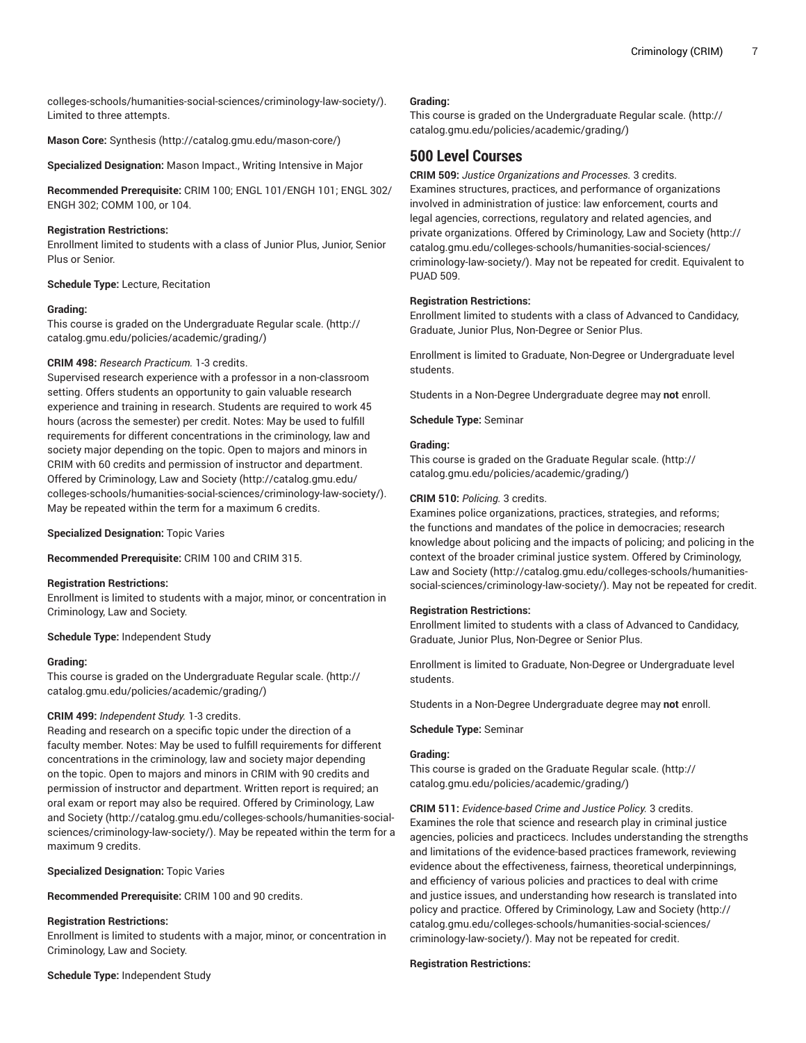[colleges-schools/humanities-social-sciences/criminology-law-society/](http://catalog.gmu.edu/colleges-schools/humanities-social-sciences/criminology-law-society/)). Limited to three attempts.

**Mason Core:** [Synthesis \(http://catalog.gmu.edu/mason-core/](http://catalog.gmu.edu/mason-core/))

**Specialized Designation:** Mason Impact., Writing Intensive in Major

**Recommended Prerequisite:** CRIM 100; ENGL 101/ENGH 101; ENGL 302/ ENGH 302; COMM 100, or 104.

## **Registration Restrictions:**

Enrollment limited to students with a class of Junior Plus, Junior, Senior Plus or Senior.

**Schedule Type:** Lecture, Recitation

### **Grading:**

This course is graded on the [Undergraduate](http://catalog.gmu.edu/policies/academic/grading/) Regular scale. ([http://](http://catalog.gmu.edu/policies/academic/grading/) [catalog.gmu.edu/policies/academic/grading/\)](http://catalog.gmu.edu/policies/academic/grading/)

## **CRIM 498:** *Research Practicum.* 1-3 credits.

Supervised research experience with a professor in a non-classroom setting. Offers students an opportunity to gain valuable research experience and training in research. Students are required to work 45 hours (across the semester) per credit. Notes: May be used to fulfill requirements for different concentrations in the criminology, law and society major depending on the topic. Open to majors and minors in CRIM with 60 credits and permission of instructor and department. Offered by [Criminology,](http://catalog.gmu.edu/colleges-schools/humanities-social-sciences/criminology-law-society/) Law and Society ([http://catalog.gmu.edu/](http://catalog.gmu.edu/colleges-schools/humanities-social-sciences/criminology-law-society/) [colleges-schools/humanities-social-sciences/criminology-law-society/](http://catalog.gmu.edu/colleges-schools/humanities-social-sciences/criminology-law-society/)). May be repeated within the term for a maximum 6 credits.

**Specialized Designation:** Topic Varies

**Recommended Prerequisite:** CRIM 100 and CRIM 315.

### **Registration Restrictions:**

Enrollment is limited to students with a major, minor, or concentration in Criminology, Law and Society.

### **Schedule Type:** Independent Study

### **Grading:**

This course is graded on the [Undergraduate](http://catalog.gmu.edu/policies/academic/grading/) Regular scale. ([http://](http://catalog.gmu.edu/policies/academic/grading/) [catalog.gmu.edu/policies/academic/grading/\)](http://catalog.gmu.edu/policies/academic/grading/)

## **CRIM 499:** *Independent Study.* 1-3 credits.

Reading and research on a specific topic under the direction of a faculty member. Notes: May be used to fulfill requirements for different concentrations in the criminology, law and society major depending on the topic. Open to majors and minors in CRIM with 90 credits and permission of instructor and department. Written report is required; an oral exam or report may also be required. Offered by [Criminology,](http://catalog.gmu.edu/colleges-schools/humanities-social-sciences/criminology-law-society/) Law [and Society](http://catalog.gmu.edu/colleges-schools/humanities-social-sciences/criminology-law-society/) ([http://catalog.gmu.edu/colleges-schools/humanities-social](http://catalog.gmu.edu/colleges-schools/humanities-social-sciences/criminology-law-society/)[sciences/criminology-law-society/](http://catalog.gmu.edu/colleges-schools/humanities-social-sciences/criminology-law-society/)). May be repeated within the term for a maximum 9 credits.

**Specialized Designation:** Topic Varies

**Recommended Prerequisite:** CRIM 100 and 90 credits.

### **Registration Restrictions:**

Enrollment is limited to students with a major, minor, or concentration in Criminology, Law and Society.

**Schedule Type:** Independent Study

### **Grading:**

This course is graded on the [Undergraduate](http://catalog.gmu.edu/policies/academic/grading/) Regular scale. ([http://](http://catalog.gmu.edu/policies/academic/grading/) [catalog.gmu.edu/policies/academic/grading/](http://catalog.gmu.edu/policies/academic/grading/))

# **500 Level Courses**

**CRIM 509:** *Justice Organizations and Processes.* 3 credits. Examines structures, practices, and performance of organizations involved in administration of justice: law enforcement, courts and legal agencies, corrections, regulatory and related agencies, and private organizations. Offered by [Criminology,](http://catalog.gmu.edu/colleges-schools/humanities-social-sciences/criminology-law-society/) Law and Society ([http://](http://catalog.gmu.edu/colleges-schools/humanities-social-sciences/criminology-law-society/) [catalog.gmu.edu/colleges-schools/humanities-social-sciences/](http://catalog.gmu.edu/colleges-schools/humanities-social-sciences/criminology-law-society/) [criminology-law-society/\)](http://catalog.gmu.edu/colleges-schools/humanities-social-sciences/criminology-law-society/). May not be repeated for credit. Equivalent to PUAD 509.

## **Registration Restrictions:**

Enrollment limited to students with a class of Advanced to Candidacy, Graduate, Junior Plus, Non-Degree or Senior Plus.

Enrollment is limited to Graduate, Non-Degree or Undergraduate level students.

Students in a Non-Degree Undergraduate degree may **not** enroll.

**Schedule Type:** Seminar

## **Grading:**

This course is graded on the [Graduate Regular scale.](http://catalog.gmu.edu/policies/academic/grading/) ([http://](http://catalog.gmu.edu/policies/academic/grading/) [catalog.gmu.edu/policies/academic/grading/](http://catalog.gmu.edu/policies/academic/grading/))

### **CRIM 510:** *Policing.* 3 credits.

Examines police organizations, practices, strategies, and reforms; the functions and mandates of the police in democracies; research knowledge about policing and the impacts of policing; and policing in the context of the broader criminal justice system. Offered by [Criminology,](http://catalog.gmu.edu/colleges-schools/humanities-social-sciences/criminology-law-society/) [Law and Society](http://catalog.gmu.edu/colleges-schools/humanities-social-sciences/criminology-law-society/) [\(http://catalog.gmu.edu/colleges-schools/humanities](http://catalog.gmu.edu/colleges-schools/humanities-social-sciences/criminology-law-society/)[social-sciences/criminology-law-society/](http://catalog.gmu.edu/colleges-schools/humanities-social-sciences/criminology-law-society/)). May not be repeated for credit.

### **Registration Restrictions:**

Enrollment limited to students with a class of Advanced to Candidacy, Graduate, Junior Plus, Non-Degree or Senior Plus.

Enrollment is limited to Graduate, Non-Degree or Undergraduate level students.

Students in a Non-Degree Undergraduate degree may **not** enroll.

### **Schedule Type:** Seminar

### **Grading:**

This course is graded on the [Graduate Regular scale.](http://catalog.gmu.edu/policies/academic/grading/) ([http://](http://catalog.gmu.edu/policies/academic/grading/) [catalog.gmu.edu/policies/academic/grading/](http://catalog.gmu.edu/policies/academic/grading/))

**CRIM 511:** *Evidence-based Crime and Justice Policy.* 3 credits. Examines the role that science and research play in criminal justice agencies, policies and practicecs. Includes understanding the strengths and limitations of the evidence-based practices framework, reviewing evidence about the effectiveness, fairness, theoretical underpinnings, and efficiency of various policies and practices to deal with crime and justice issues, and understanding how research is translated into policy and practice. Offered by [Criminology,](http://catalog.gmu.edu/colleges-schools/humanities-social-sciences/criminology-law-society/) Law and Society [\(http://](http://catalog.gmu.edu/colleges-schools/humanities-social-sciences/criminology-law-society/) [catalog.gmu.edu/colleges-schools/humanities-social-sciences/](http://catalog.gmu.edu/colleges-schools/humanities-social-sciences/criminology-law-society/) [criminology-law-society/\)](http://catalog.gmu.edu/colleges-schools/humanities-social-sciences/criminology-law-society/). May not be repeated for credit.

### **Registration Restrictions:**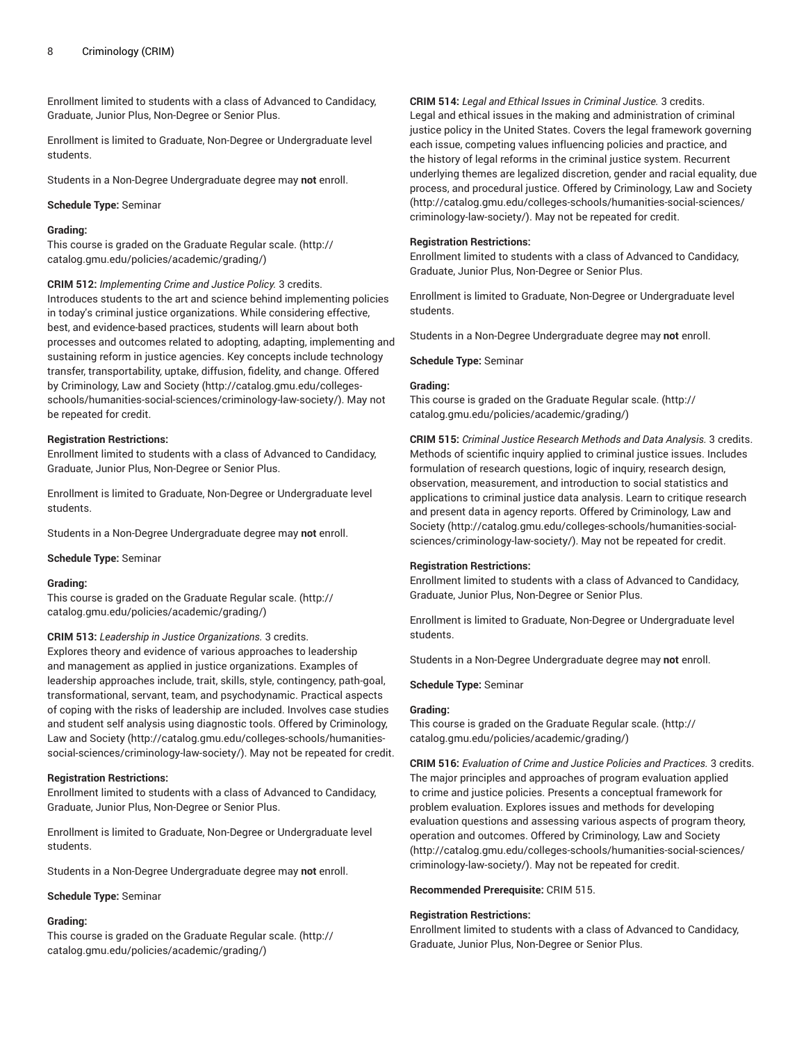Enrollment limited to students with a class of Advanced to Candidacy, Graduate, Junior Plus, Non-Degree or Senior Plus.

Enrollment is limited to Graduate, Non-Degree or Undergraduate level students.

Students in a Non-Degree Undergraduate degree may **not** enroll.

#### **Schedule Type:** Seminar

#### **Grading:**

This course is graded on the [Graduate Regular scale.](http://catalog.gmu.edu/policies/academic/grading/) [\(http://](http://catalog.gmu.edu/policies/academic/grading/) [catalog.gmu.edu/policies/academic/grading/\)](http://catalog.gmu.edu/policies/academic/grading/)

**CRIM 512:** *Implementing Crime and Justice Policy.* 3 credits.

Introduces students to the art and science behind implementing policies in today's criminal justice organizations. While considering effective, best, and evidence-based practices, students will learn about both processes and outcomes related to adopting, adapting, implementing and sustaining reform in justice agencies. Key concepts include technology transfer, transportability, uptake, diffusion, fidelity, and change. Offered by [Criminology,](http://catalog.gmu.edu/colleges-schools/humanities-social-sciences/criminology-law-society/) Law and Society [\(http://catalog.gmu.edu/colleges](http://catalog.gmu.edu/colleges-schools/humanities-social-sciences/criminology-law-society/)[schools/humanities-social-sciences/criminology-law-society/\)](http://catalog.gmu.edu/colleges-schools/humanities-social-sciences/criminology-law-society/). May not be repeated for credit.

#### **Registration Restrictions:**

Enrollment limited to students with a class of Advanced to Candidacy, Graduate, Junior Plus, Non-Degree or Senior Plus.

Enrollment is limited to Graduate, Non-Degree or Undergraduate level students.

Students in a Non-Degree Undergraduate degree may **not** enroll.

**Schedule Type:** Seminar

#### **Grading:**

This course is graded on the [Graduate Regular scale.](http://catalog.gmu.edu/policies/academic/grading/) [\(http://](http://catalog.gmu.edu/policies/academic/grading/) [catalog.gmu.edu/policies/academic/grading/\)](http://catalog.gmu.edu/policies/academic/grading/)

#### **CRIM 513:** *Leadership in Justice Organizations.* 3 credits.

Explores theory and evidence of various approaches to leadership and management as applied in justice organizations. Examples of leadership approaches include, trait, skills, style, contingency, path-goal, transformational, servant, team, and psychodynamic. Practical aspects of coping with the risks of leadership are included. Involves case studies and student self analysis using diagnostic tools. Offered by [Criminology,](http://catalog.gmu.edu/colleges-schools/humanities-social-sciences/criminology-law-society/) [Law and Society](http://catalog.gmu.edu/colleges-schools/humanities-social-sciences/criminology-law-society/) ([http://catalog.gmu.edu/colleges-schools/humanities](http://catalog.gmu.edu/colleges-schools/humanities-social-sciences/criminology-law-society/)[social-sciences/criminology-law-society/\)](http://catalog.gmu.edu/colleges-schools/humanities-social-sciences/criminology-law-society/). May not be repeated for credit.

## **Registration Restrictions:**

Enrollment limited to students with a class of Advanced to Candidacy, Graduate, Junior Plus, Non-Degree or Senior Plus.

Enrollment is limited to Graduate, Non-Degree or Undergraduate level students.

Students in a Non-Degree Undergraduate degree may **not** enroll.

**Schedule Type:** Seminar

### **Grading:**

This course is graded on the [Graduate Regular scale.](http://catalog.gmu.edu/policies/academic/grading/) [\(http://](http://catalog.gmu.edu/policies/academic/grading/) [catalog.gmu.edu/policies/academic/grading/\)](http://catalog.gmu.edu/policies/academic/grading/)

**CRIM 514:** *Legal and Ethical Issues in Criminal Justice.* 3 credits. Legal and ethical issues in the making and administration of criminal justice policy in the United States. Covers the legal framework governing each issue, competing values influencing policies and practice, and the history of legal reforms in the criminal justice system. Recurrent underlying themes are legalized discretion, gender and racial equality, due process, and procedural justice. Offered by [Criminology,](http://catalog.gmu.edu/colleges-schools/humanities-social-sciences/criminology-law-society/) Law and Society [\(http://catalog.gmu.edu/colleges-schools/humanities-social-sciences/](http://catalog.gmu.edu/colleges-schools/humanities-social-sciences/criminology-law-society/) [criminology-law-society/\)](http://catalog.gmu.edu/colleges-schools/humanities-social-sciences/criminology-law-society/). May not be repeated for credit.

#### **Registration Restrictions:**

Enrollment limited to students with a class of Advanced to Candidacy, Graduate, Junior Plus, Non-Degree or Senior Plus.

Enrollment is limited to Graduate, Non-Degree or Undergraduate level students.

Students in a Non-Degree Undergraduate degree may **not** enroll.

**Schedule Type:** Seminar

#### **Grading:**

This course is graded on the [Graduate Regular scale.](http://catalog.gmu.edu/policies/academic/grading/) ([http://](http://catalog.gmu.edu/policies/academic/grading/) [catalog.gmu.edu/policies/academic/grading/](http://catalog.gmu.edu/policies/academic/grading/))

**CRIM 515:** *Criminal Justice Research Methods and Data Analysis.* 3 credits. Methods of scientific inquiry applied to criminal justice issues. Includes formulation of research questions, logic of inquiry, research design, observation, measurement, and introduction to social statistics and applications to criminal justice data analysis. Learn to critique research and present data in agency reports. Offered by [Criminology,](http://catalog.gmu.edu/colleges-schools/humanities-social-sciences/criminology-law-society/) Law and [Society](http://catalog.gmu.edu/colleges-schools/humanities-social-sciences/criminology-law-society/) ([http://catalog.gmu.edu/colleges-schools/humanities-social](http://catalog.gmu.edu/colleges-schools/humanities-social-sciences/criminology-law-society/)[sciences/criminology-law-society/\)](http://catalog.gmu.edu/colleges-schools/humanities-social-sciences/criminology-law-society/). May not be repeated for credit.

#### **Registration Restrictions:**

Enrollment limited to students with a class of Advanced to Candidacy, Graduate, Junior Plus, Non-Degree or Senior Plus.

Enrollment is limited to Graduate, Non-Degree or Undergraduate level students.

Students in a Non-Degree Undergraduate degree may **not** enroll.

#### **Schedule Type:** Seminar

#### **Grading:**

This course is graded on the [Graduate Regular scale.](http://catalog.gmu.edu/policies/academic/grading/) ([http://](http://catalog.gmu.edu/policies/academic/grading/) [catalog.gmu.edu/policies/academic/grading/](http://catalog.gmu.edu/policies/academic/grading/))

**CRIM 516:** *Evaluation of Crime and Justice Policies and Practices.* 3 credits. The major principles and approaches of program evaluation applied to crime and justice policies. Presents a conceptual framework for problem evaluation. Explores issues and methods for developing evaluation questions and assessing various aspects of program theory, operation and outcomes. Offered by [Criminology,](http://catalog.gmu.edu/colleges-schools/humanities-social-sciences/criminology-law-society/) Law and Society [\(http://catalog.gmu.edu/colleges-schools/humanities-social-sciences/](http://catalog.gmu.edu/colleges-schools/humanities-social-sciences/criminology-law-society/) [criminology-law-society/\)](http://catalog.gmu.edu/colleges-schools/humanities-social-sciences/criminology-law-society/). May not be repeated for credit.

**Recommended Prerequisite:** CRIM 515.

#### **Registration Restrictions:**

Enrollment limited to students with a class of Advanced to Candidacy, Graduate, Junior Plus, Non-Degree or Senior Plus.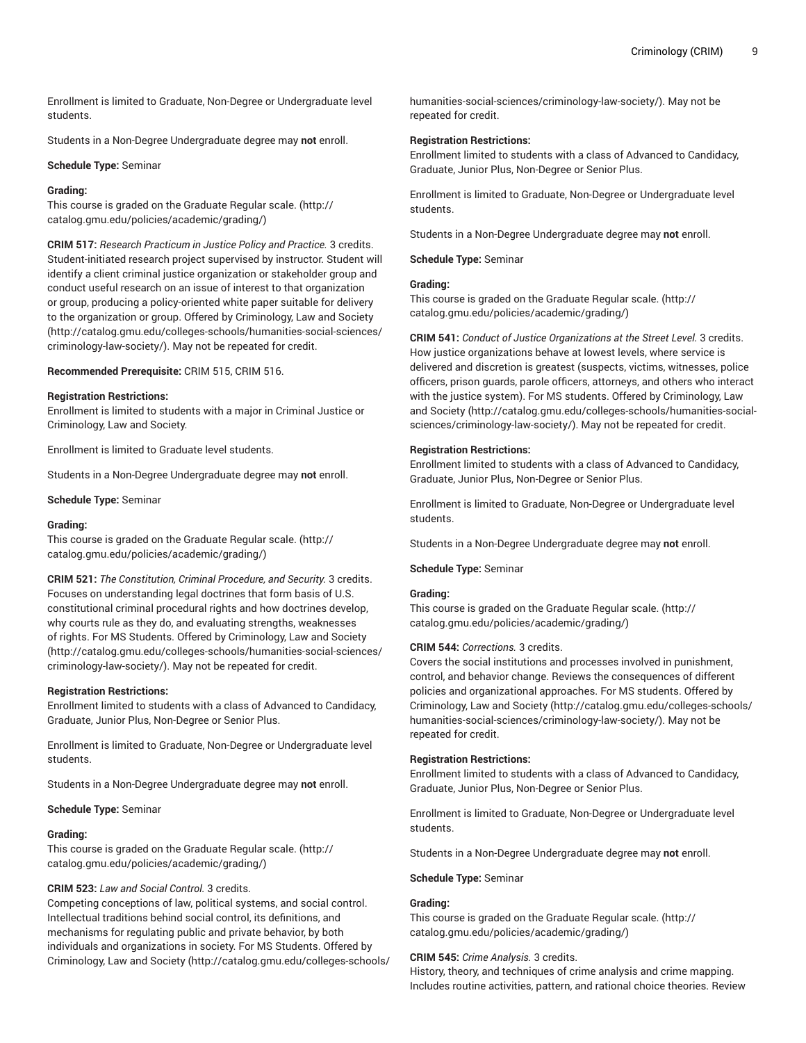Enrollment is limited to Graduate, Non-Degree or Undergraduate level students.

Students in a Non-Degree Undergraduate degree may **not** enroll.

#### **Schedule Type:** Seminar

#### **Grading:**

This course is graded on the [Graduate Regular scale.](http://catalog.gmu.edu/policies/academic/grading/) [\(http://](http://catalog.gmu.edu/policies/academic/grading/) [catalog.gmu.edu/policies/academic/grading/\)](http://catalog.gmu.edu/policies/academic/grading/)

**CRIM 517:** *Research Practicum in Justice Policy and Practice.* 3 credits. Student-initiated research project supervised by instructor. Student will identify a client criminal justice organization or stakeholder group and conduct useful research on an issue of interest to that organization or group, producing a policy-oriented white paper suitable for delivery to the organization or group. Offered by [Criminology,](http://catalog.gmu.edu/colleges-schools/humanities-social-sciences/criminology-law-society/) Law and Society ([http://catalog.gmu.edu/colleges-schools/humanities-social-sciences/](http://catalog.gmu.edu/colleges-schools/humanities-social-sciences/criminology-law-society/) [criminology-law-society/](http://catalog.gmu.edu/colleges-schools/humanities-social-sciences/criminology-law-society/)). May not be repeated for credit.

**Recommended Prerequisite:** CRIM 515, CRIM 516.

#### **Registration Restrictions:**

Enrollment is limited to students with a major in Criminal Justice or Criminology, Law and Society.

Enrollment is limited to Graduate level students.

Students in a Non-Degree Undergraduate degree may **not** enroll.

#### **Schedule Type:** Seminar

#### **Grading:**

This course is graded on the [Graduate Regular scale.](http://catalog.gmu.edu/policies/academic/grading/) [\(http://](http://catalog.gmu.edu/policies/academic/grading/) [catalog.gmu.edu/policies/academic/grading/\)](http://catalog.gmu.edu/policies/academic/grading/)

**CRIM 521:** *The Constitution, Criminal Procedure, and Security.* 3 credits. Focuses on understanding legal doctrines that form basis of U.S. constitutional criminal procedural rights and how doctrines develop, why courts rule as they do, and evaluating strengths, weaknesses of rights. For MS Students. Offered by [Criminology,](http://catalog.gmu.edu/colleges-schools/humanities-social-sciences/criminology-law-society/) Law and Society ([http://catalog.gmu.edu/colleges-schools/humanities-social-sciences/](http://catalog.gmu.edu/colleges-schools/humanities-social-sciences/criminology-law-society/) [criminology-law-society/](http://catalog.gmu.edu/colleges-schools/humanities-social-sciences/criminology-law-society/)). May not be repeated for credit.

#### **Registration Restrictions:**

Enrollment limited to students with a class of Advanced to Candidacy, Graduate, Junior Plus, Non-Degree or Senior Plus.

Enrollment is limited to Graduate, Non-Degree or Undergraduate level students.

Students in a Non-Degree Undergraduate degree may **not** enroll.

#### **Schedule Type:** Seminar

#### **Grading:**

This course is graded on the [Graduate Regular scale.](http://catalog.gmu.edu/policies/academic/grading/) [\(http://](http://catalog.gmu.edu/policies/academic/grading/) [catalog.gmu.edu/policies/academic/grading/\)](http://catalog.gmu.edu/policies/academic/grading/)

### **CRIM 523:** *Law and Social Control.* 3 credits.

Competing conceptions of law, political systems, and social control. Intellectual traditions behind social control, its definitions, and mechanisms for regulating public and private behavior, by both individuals and organizations in society. For MS Students. Offered by [Criminology,](http://catalog.gmu.edu/colleges-schools/humanities-social-sciences/criminology-law-society/) Law and Society ([http://catalog.gmu.edu/colleges-schools/](http://catalog.gmu.edu/colleges-schools/humanities-social-sciences/criminology-law-society/) [humanities-social-sciences/criminology-law-society/\)](http://catalog.gmu.edu/colleges-schools/humanities-social-sciences/criminology-law-society/). May not be repeated for credit.

#### **Registration Restrictions:**

Enrollment limited to students with a class of Advanced to Candidacy, Graduate, Junior Plus, Non-Degree or Senior Plus.

Enrollment is limited to Graduate, Non-Degree or Undergraduate level students.

Students in a Non-Degree Undergraduate degree may **not** enroll.

**Schedule Type:** Seminar

#### **Grading:**

This course is graded on the [Graduate Regular scale.](http://catalog.gmu.edu/policies/academic/grading/) ([http://](http://catalog.gmu.edu/policies/academic/grading/) [catalog.gmu.edu/policies/academic/grading/](http://catalog.gmu.edu/policies/academic/grading/))

**CRIM 541:** *Conduct of Justice Organizations at the Street Level.* 3 credits. How justice organizations behave at lowest levels, where service is delivered and discretion is greatest (suspects, victims, witnesses, police officers, prison guards, parole officers, attorneys, and others who interact with the justice system). For MS students. Offered by [Criminology,](http://catalog.gmu.edu/colleges-schools/humanities-social-sciences/criminology-law-society/) Law [and Society \(http://catalog.gmu.edu/colleges-schools/humanities-social](http://catalog.gmu.edu/colleges-schools/humanities-social-sciences/criminology-law-society/)[sciences/criminology-law-society/\)](http://catalog.gmu.edu/colleges-schools/humanities-social-sciences/criminology-law-society/). May not be repeated for credit.

#### **Registration Restrictions:**

Enrollment limited to students with a class of Advanced to Candidacy, Graduate, Junior Plus, Non-Degree or Senior Plus.

Enrollment is limited to Graduate, Non-Degree or Undergraduate level students.

Students in a Non-Degree Undergraduate degree may **not** enroll.

#### **Schedule Type:** Seminar

## **Grading:**

This course is graded on the [Graduate Regular scale.](http://catalog.gmu.edu/policies/academic/grading/) ([http://](http://catalog.gmu.edu/policies/academic/grading/) [catalog.gmu.edu/policies/academic/grading/](http://catalog.gmu.edu/policies/academic/grading/))

#### **CRIM 544:** *Corrections.* 3 credits.

Covers the social institutions and processes involved in punishment, control, and behavior change. Reviews the consequences of different policies and organizational approaches. For MS students. Offered by [Criminology,](http://catalog.gmu.edu/colleges-schools/humanities-social-sciences/criminology-law-society/) Law and Society ([http://catalog.gmu.edu/colleges-schools/](http://catalog.gmu.edu/colleges-schools/humanities-social-sciences/criminology-law-society/) [humanities-social-sciences/criminology-law-society/\)](http://catalog.gmu.edu/colleges-schools/humanities-social-sciences/criminology-law-society/). May not be repeated for credit.

#### **Registration Restrictions:**

Enrollment limited to students with a class of Advanced to Candidacy, Graduate, Junior Plus, Non-Degree or Senior Plus.

Enrollment is limited to Graduate, Non-Degree or Undergraduate level students.

Students in a Non-Degree Undergraduate degree may **not** enroll.

#### **Schedule Type:** Seminar

#### **Grading:**

This course is graded on the [Graduate Regular scale.](http://catalog.gmu.edu/policies/academic/grading/) ([http://](http://catalog.gmu.edu/policies/academic/grading/) [catalog.gmu.edu/policies/academic/grading/](http://catalog.gmu.edu/policies/academic/grading/))

## **CRIM 545:** *Crime Analysis.* 3 credits.

History, theory, and techniques of crime analysis and crime mapping. Includes routine activities, pattern, and rational choice theories. Review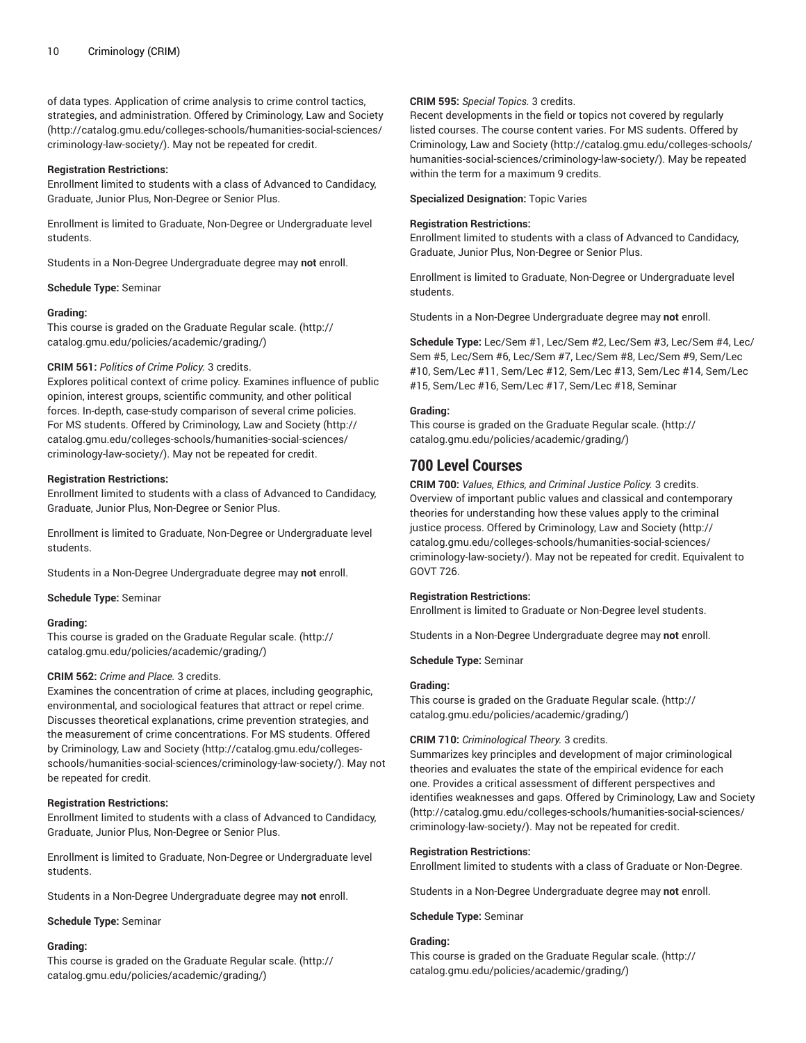of data types. Application of crime analysis to crime control tactics, strategies, and administration. Offered by [Criminology,](http://catalog.gmu.edu/colleges-schools/humanities-social-sciences/criminology-law-society/) Law and Society ([http://catalog.gmu.edu/colleges-schools/humanities-social-sciences/](http://catalog.gmu.edu/colleges-schools/humanities-social-sciences/criminology-law-society/) [criminology-law-society/](http://catalog.gmu.edu/colleges-schools/humanities-social-sciences/criminology-law-society/)). May not be repeated for credit.

#### **Registration Restrictions:**

Enrollment limited to students with a class of Advanced to Candidacy, Graduate, Junior Plus, Non-Degree or Senior Plus.

Enrollment is limited to Graduate, Non-Degree or Undergraduate level students.

Students in a Non-Degree Undergraduate degree may **not** enroll.

#### **Schedule Type:** Seminar

#### **Grading:**

This course is graded on the [Graduate Regular scale.](http://catalog.gmu.edu/policies/academic/grading/) [\(http://](http://catalog.gmu.edu/policies/academic/grading/) [catalog.gmu.edu/policies/academic/grading/\)](http://catalog.gmu.edu/policies/academic/grading/)

#### **CRIM 561:** *Politics of Crime Policy.* 3 credits.

Explores political context of crime policy. Examines influence of public opinion, interest groups, scientific community, and other political forces. In-depth, case-study comparison of several crime policies. For MS students. Offered by [Criminology,](http://catalog.gmu.edu/colleges-schools/humanities-social-sciences/criminology-law-society/) Law and Society [\(http://](http://catalog.gmu.edu/colleges-schools/humanities-social-sciences/criminology-law-society/) [catalog.gmu.edu/colleges-schools/humanities-social-sciences/](http://catalog.gmu.edu/colleges-schools/humanities-social-sciences/criminology-law-society/) [criminology-law-society/](http://catalog.gmu.edu/colleges-schools/humanities-social-sciences/criminology-law-society/)). May not be repeated for credit.

#### **Registration Restrictions:**

Enrollment limited to students with a class of Advanced to Candidacy, Graduate, Junior Plus, Non-Degree or Senior Plus.

Enrollment is limited to Graduate, Non-Degree or Undergraduate level students.

Students in a Non-Degree Undergraduate degree may **not** enroll.

**Schedule Type:** Seminar

### **Grading:**

This course is graded on the [Graduate Regular scale.](http://catalog.gmu.edu/policies/academic/grading/) [\(http://](http://catalog.gmu.edu/policies/academic/grading/) [catalog.gmu.edu/policies/academic/grading/\)](http://catalog.gmu.edu/policies/academic/grading/)

### **CRIM 562:** *Crime and Place.* 3 credits.

Examines the concentration of crime at places, including geographic, environmental, and sociological features that attract or repel crime. Discusses theoretical explanations, crime prevention strategies, and the measurement of crime concentrations. For MS students. Offered by [Criminology,](http://catalog.gmu.edu/colleges-schools/humanities-social-sciences/criminology-law-society/) Law and Society [\(http://catalog.gmu.edu/colleges](http://catalog.gmu.edu/colleges-schools/humanities-social-sciences/criminology-law-society/)[schools/humanities-social-sciences/criminology-law-society/\)](http://catalog.gmu.edu/colleges-schools/humanities-social-sciences/criminology-law-society/). May not be repeated for credit.

### **Registration Restrictions:**

Enrollment limited to students with a class of Advanced to Candidacy, Graduate, Junior Plus, Non-Degree or Senior Plus.

Enrollment is limited to Graduate, Non-Degree or Undergraduate level students.

Students in a Non-Degree Undergraduate degree may **not** enroll.

#### **Schedule Type:** Seminar

#### **Grading:**

This course is graded on the [Graduate Regular scale.](http://catalog.gmu.edu/policies/academic/grading/) [\(http://](http://catalog.gmu.edu/policies/academic/grading/) [catalog.gmu.edu/policies/academic/grading/\)](http://catalog.gmu.edu/policies/academic/grading/)

#### **CRIM 595:** *Special Topics.* 3 credits.

Recent developments in the field or topics not covered by regularly listed courses. The course content varies. For MS sudents. Offered by [Criminology,](http://catalog.gmu.edu/colleges-schools/humanities-social-sciences/criminology-law-society/) Law and Society ([http://catalog.gmu.edu/colleges-schools/](http://catalog.gmu.edu/colleges-schools/humanities-social-sciences/criminology-law-society/) [humanities-social-sciences/criminology-law-society/\)](http://catalog.gmu.edu/colleges-schools/humanities-social-sciences/criminology-law-society/). May be repeated within the term for a maximum 9 credits.

**Specialized Designation:** Topic Varies

#### **Registration Restrictions:**

Enrollment limited to students with a class of Advanced to Candidacy, Graduate, Junior Plus, Non-Degree or Senior Plus.

Enrollment is limited to Graduate, Non-Degree or Undergraduate level students.

Students in a Non-Degree Undergraduate degree may **not** enroll.

**Schedule Type:** Lec/Sem #1, Lec/Sem #2, Lec/Sem #3, Lec/Sem #4, Lec/ Sem #5, Lec/Sem #6, Lec/Sem #7, Lec/Sem #8, Lec/Sem #9, Sem/Lec #10, Sem/Lec #11, Sem/Lec #12, Sem/Lec #13, Sem/Lec #14, Sem/Lec #15, Sem/Lec #16, Sem/Lec #17, Sem/Lec #18, Seminar

### **Grading:**

This course is graded on the [Graduate Regular scale.](http://catalog.gmu.edu/policies/academic/grading/) ([http://](http://catalog.gmu.edu/policies/academic/grading/) [catalog.gmu.edu/policies/academic/grading/](http://catalog.gmu.edu/policies/academic/grading/))

# **700 Level Courses**

**CRIM 700:** *Values, Ethics, and Criminal Justice Policy.* 3 credits. Overview of important public values and classical and contemporary theories for understanding how these values apply to the criminal justice process. Offered by [Criminology,](http://catalog.gmu.edu/colleges-schools/humanities-social-sciences/criminology-law-society/) Law and Society ([http://](http://catalog.gmu.edu/colleges-schools/humanities-social-sciences/criminology-law-society/) [catalog.gmu.edu/colleges-schools/humanities-social-sciences/](http://catalog.gmu.edu/colleges-schools/humanities-social-sciences/criminology-law-society/) [criminology-law-society/\)](http://catalog.gmu.edu/colleges-schools/humanities-social-sciences/criminology-law-society/). May not be repeated for credit. Equivalent to GOVT 726.

### **Registration Restrictions:**

Enrollment is limited to Graduate or Non-Degree level students.

Students in a Non-Degree Undergraduate degree may **not** enroll.

**Schedule Type:** Seminar

### **Grading:**

This course is graded on the [Graduate Regular scale.](http://catalog.gmu.edu/policies/academic/grading/) ([http://](http://catalog.gmu.edu/policies/academic/grading/) [catalog.gmu.edu/policies/academic/grading/](http://catalog.gmu.edu/policies/academic/grading/))

#### **CRIM 710:** *Criminological Theory.* 3 credits.

Summarizes key principles and development of major criminological theories and evaluates the state of the empirical evidence for each one. Provides a critical assessment of different perspectives and identifies weaknesses and gaps. Offered by [Criminology,](http://catalog.gmu.edu/colleges-schools/humanities-social-sciences/criminology-law-society/) Law and Society [\(http://catalog.gmu.edu/colleges-schools/humanities-social-sciences/](http://catalog.gmu.edu/colleges-schools/humanities-social-sciences/criminology-law-society/) [criminology-law-society/\)](http://catalog.gmu.edu/colleges-schools/humanities-social-sciences/criminology-law-society/). May not be repeated for credit.

#### **Registration Restrictions:**

Enrollment limited to students with a class of Graduate or Non-Degree.

Students in a Non-Degree Undergraduate degree may **not** enroll.

#### **Schedule Type:** Seminar

## **Grading:**

This course is graded on the [Graduate Regular scale.](http://catalog.gmu.edu/policies/academic/grading/) ([http://](http://catalog.gmu.edu/policies/academic/grading/) [catalog.gmu.edu/policies/academic/grading/](http://catalog.gmu.edu/policies/academic/grading/))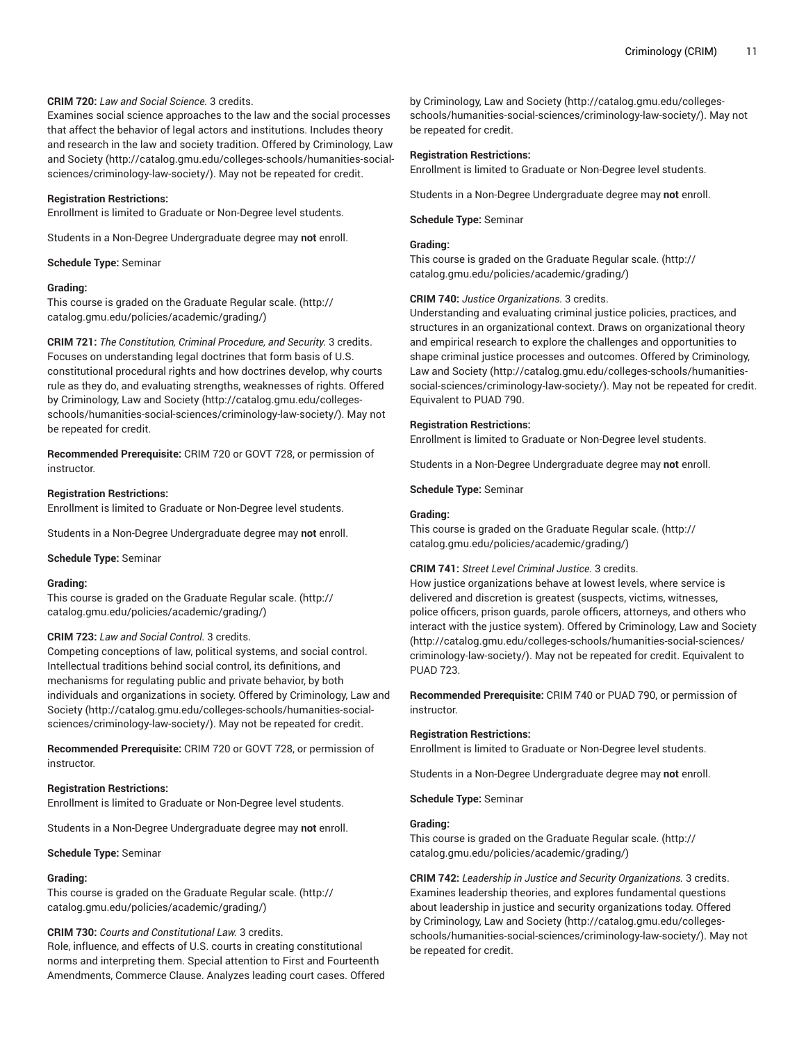## **CRIM 720:** *Law and Social Science.* 3 credits.

Examines social science approaches to the law and the social processes that affect the behavior of legal actors and institutions. Includes theory and research in the law and society tradition. Offered by [Criminology,](http://catalog.gmu.edu/colleges-schools/humanities-social-sciences/criminology-law-society/) Law [and Society](http://catalog.gmu.edu/colleges-schools/humanities-social-sciences/criminology-law-society/) ([http://catalog.gmu.edu/colleges-schools/humanities-social](http://catalog.gmu.edu/colleges-schools/humanities-social-sciences/criminology-law-society/)[sciences/criminology-law-society/](http://catalog.gmu.edu/colleges-schools/humanities-social-sciences/criminology-law-society/)). May not be repeated for credit.

#### **Registration Restrictions:**

Enrollment is limited to Graduate or Non-Degree level students.

Students in a Non-Degree Undergraduate degree may **not** enroll.

**Schedule Type:** Seminar

## **Grading:**

This course is graded on the [Graduate Regular scale.](http://catalog.gmu.edu/policies/academic/grading/) [\(http://](http://catalog.gmu.edu/policies/academic/grading/) [catalog.gmu.edu/policies/academic/grading/\)](http://catalog.gmu.edu/policies/academic/grading/)

**CRIM 721:** *The Constitution, Criminal Procedure, and Security.* 3 credits. Focuses on understanding legal doctrines that form basis of U.S. constitutional procedural rights and how doctrines develop, why courts rule as they do, and evaluating strengths, weaknesses of rights. Offered by [Criminology,](http://catalog.gmu.edu/colleges-schools/humanities-social-sciences/criminology-law-society/) Law and Society [\(http://catalog.gmu.edu/colleges](http://catalog.gmu.edu/colleges-schools/humanities-social-sciences/criminology-law-society/)[schools/humanities-social-sciences/criminology-law-society/\)](http://catalog.gmu.edu/colleges-schools/humanities-social-sciences/criminology-law-society/). May not be repeated for credit.

**Recommended Prerequisite:** CRIM 720 or GOVT 728, or permission of instructor.

#### **Registration Restrictions:**

Enrollment is limited to Graduate or Non-Degree level students.

Students in a Non-Degree Undergraduate degree may **not** enroll.

**Schedule Type:** Seminar

#### **Grading:**

This course is graded on the [Graduate Regular scale.](http://catalog.gmu.edu/policies/academic/grading/) [\(http://](http://catalog.gmu.edu/policies/academic/grading/) [catalog.gmu.edu/policies/academic/grading/\)](http://catalog.gmu.edu/policies/academic/grading/)

## **CRIM 723:** *Law and Social Control.* 3 credits.

Competing conceptions of law, political systems, and social control. Intellectual traditions behind social control, its definitions, and mechanisms for regulating public and private behavior, by both individuals and organizations in society. Offered by [Criminology,](http://catalog.gmu.edu/colleges-schools/humanities-social-sciences/criminology-law-society/) Law and [Society \(http://catalog.gmu.edu/colleges-schools/humanities-social](http://catalog.gmu.edu/colleges-schools/humanities-social-sciences/criminology-law-society/)[sciences/criminology-law-society/](http://catalog.gmu.edu/colleges-schools/humanities-social-sciences/criminology-law-society/)). May not be repeated for credit.

**Recommended Prerequisite:** CRIM 720 or GOVT 728, or permission of instructor.

#### **Registration Restrictions:**

Enrollment is limited to Graduate or Non-Degree level students.

Students in a Non-Degree Undergraduate degree may **not** enroll.

**Schedule Type:** Seminar

### **Grading:**

This course is graded on the [Graduate Regular scale.](http://catalog.gmu.edu/policies/academic/grading/) [\(http://](http://catalog.gmu.edu/policies/academic/grading/) [catalog.gmu.edu/policies/academic/grading/\)](http://catalog.gmu.edu/policies/academic/grading/)

## **CRIM 730:** *Courts and Constitutional Law.* 3 credits.

Role, influence, and effects of U.S. courts in creating constitutional norms and interpreting them. Special attention to First and Fourteenth Amendments, Commerce Clause. Analyzes leading court cases. Offered

by [Criminology,](http://catalog.gmu.edu/colleges-schools/humanities-social-sciences/criminology-law-society/) Law and Society [\(http://catalog.gmu.edu/colleges](http://catalog.gmu.edu/colleges-schools/humanities-social-sciences/criminology-law-society/)[schools/humanities-social-sciences/criminology-law-society/](http://catalog.gmu.edu/colleges-schools/humanities-social-sciences/criminology-law-society/)). May not be repeated for credit.

#### **Registration Restrictions:**

Enrollment is limited to Graduate or Non-Degree level students.

Students in a Non-Degree Undergraduate degree may **not** enroll.

#### **Schedule Type:** Seminar

#### **Grading:**

This course is graded on the [Graduate Regular scale.](http://catalog.gmu.edu/policies/academic/grading/) ([http://](http://catalog.gmu.edu/policies/academic/grading/) [catalog.gmu.edu/policies/academic/grading/](http://catalog.gmu.edu/policies/academic/grading/))

### **CRIM 740:** *Justice Organizations.* 3 credits.

Understanding and evaluating criminal justice policies, practices, and structures in an organizational context. Draws on organizational theory and empirical research to explore the challenges and opportunities to shape criminal justice processes and outcomes. Offered by [Criminology,](http://catalog.gmu.edu/colleges-schools/humanities-social-sciences/criminology-law-society/) [Law and Society](http://catalog.gmu.edu/colleges-schools/humanities-social-sciences/criminology-law-society/) [\(http://catalog.gmu.edu/colleges-schools/humanities](http://catalog.gmu.edu/colleges-schools/humanities-social-sciences/criminology-law-society/)[social-sciences/criminology-law-society/](http://catalog.gmu.edu/colleges-schools/humanities-social-sciences/criminology-law-society/)). May not be repeated for credit. Equivalent to PUAD 790.

### **Registration Restrictions:**

Enrollment is limited to Graduate or Non-Degree level students.

Students in a Non-Degree Undergraduate degree may **not** enroll.

#### **Schedule Type:** Seminar

#### **Grading:**

This course is graded on the [Graduate Regular scale.](http://catalog.gmu.edu/policies/academic/grading/) ([http://](http://catalog.gmu.edu/policies/academic/grading/) [catalog.gmu.edu/policies/academic/grading/](http://catalog.gmu.edu/policies/academic/grading/))

### **CRIM 741:** *Street Level Criminal Justice.* 3 credits.

How justice organizations behave at lowest levels, where service is delivered and discretion is greatest (suspects, victims, witnesses, police officers, prison guards, parole officers, attorneys, and others who interact with the justice system). Offered by [Criminology,](http://catalog.gmu.edu/colleges-schools/humanities-social-sciences/criminology-law-society/) Law and Society [\(http://catalog.gmu.edu/colleges-schools/humanities-social-sciences/](http://catalog.gmu.edu/colleges-schools/humanities-social-sciences/criminology-law-society/) [criminology-law-society/\)](http://catalog.gmu.edu/colleges-schools/humanities-social-sciences/criminology-law-society/). May not be repeated for credit. Equivalent to PUAD 723.

**Recommended Prerequisite:** CRIM 740 or PUAD 790, or permission of instructor.

#### **Registration Restrictions:**

Enrollment is limited to Graduate or Non-Degree level students.

Students in a Non-Degree Undergraduate degree may **not** enroll.

**Schedule Type:** Seminar

### **Grading:**

This course is graded on the [Graduate Regular scale.](http://catalog.gmu.edu/policies/academic/grading/) ([http://](http://catalog.gmu.edu/policies/academic/grading/) [catalog.gmu.edu/policies/academic/grading/](http://catalog.gmu.edu/policies/academic/grading/))

**CRIM 742:** *Leadership in Justice and Security Organizations.* 3 credits. Examines leadership theories, and explores fundamental questions about leadership in justice and security organizations today. Offered by [Criminology,](http://catalog.gmu.edu/colleges-schools/humanities-social-sciences/criminology-law-society/) Law and Society [\(http://catalog.gmu.edu/colleges](http://catalog.gmu.edu/colleges-schools/humanities-social-sciences/criminology-law-society/)[schools/humanities-social-sciences/criminology-law-society/](http://catalog.gmu.edu/colleges-schools/humanities-social-sciences/criminology-law-society/)). May not be repeated for credit.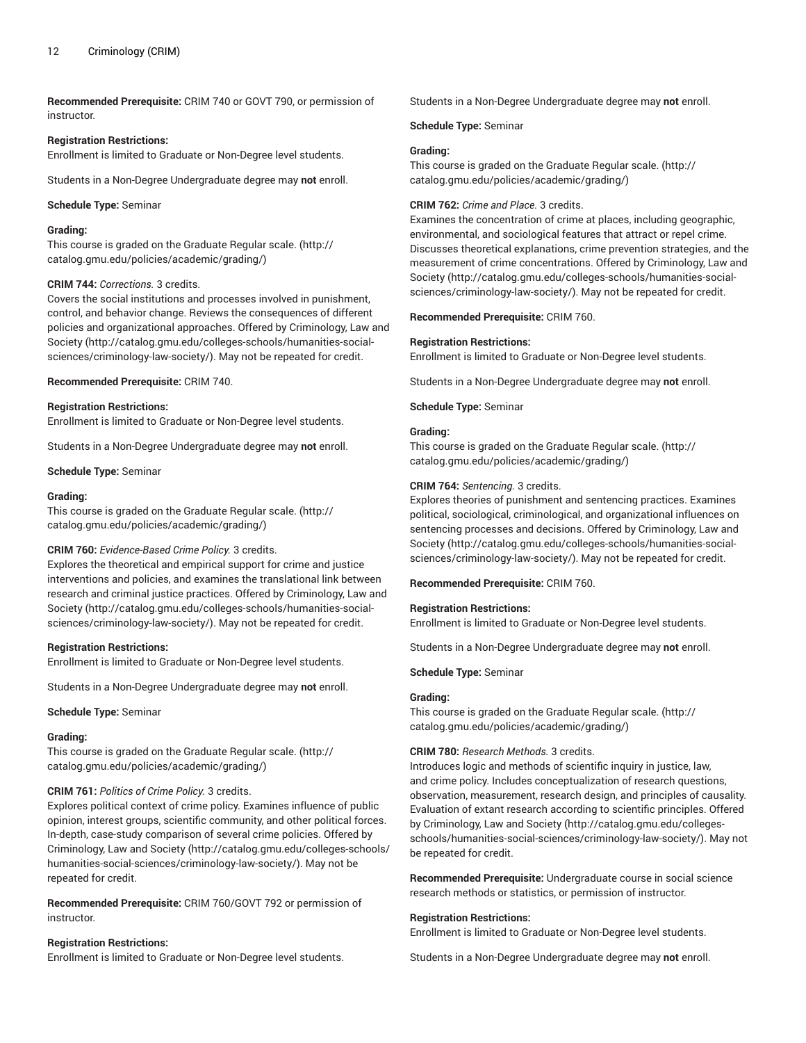**Recommended Prerequisite:** CRIM 740 or GOVT 790, or permission of instructor.

#### **Registration Restrictions:**

Enrollment is limited to Graduate or Non-Degree level students.

Students in a Non-Degree Undergraduate degree may **not** enroll.

#### **Schedule Type:** Seminar

## **Grading:**

This course is graded on the [Graduate Regular scale.](http://catalog.gmu.edu/policies/academic/grading/) [\(http://](http://catalog.gmu.edu/policies/academic/grading/) [catalog.gmu.edu/policies/academic/grading/\)](http://catalog.gmu.edu/policies/academic/grading/)

#### **CRIM 744:** *Corrections.* 3 credits.

Covers the social institutions and processes involved in punishment, control, and behavior change. Reviews the consequences of different policies and organizational approaches. Offered by [Criminology,](http://catalog.gmu.edu/colleges-schools/humanities-social-sciences/criminology-law-society/) Law and [Society \(http://catalog.gmu.edu/colleges-schools/humanities-social](http://catalog.gmu.edu/colleges-schools/humanities-social-sciences/criminology-law-society/)[sciences/criminology-law-society/](http://catalog.gmu.edu/colleges-schools/humanities-social-sciences/criminology-law-society/)). May not be repeated for credit.

**Recommended Prerequisite:** CRIM 740.

#### **Registration Restrictions:**

Enrollment is limited to Graduate or Non-Degree level students.

Students in a Non-Degree Undergraduate degree may **not** enroll.

**Schedule Type:** Seminar

#### **Grading:**

This course is graded on the [Graduate Regular scale.](http://catalog.gmu.edu/policies/academic/grading/) [\(http://](http://catalog.gmu.edu/policies/academic/grading/) [catalog.gmu.edu/policies/academic/grading/\)](http://catalog.gmu.edu/policies/academic/grading/)

### **CRIM 760:** *Evidence-Based Crime Policy.* 3 credits.

Explores the theoretical and empirical support for crime and justice interventions and policies, and examines the translational link between research and criminal justice practices. Offered by [Criminology,](http://catalog.gmu.edu/colleges-schools/humanities-social-sciences/criminology-law-society/) Law and [Society \(http://catalog.gmu.edu/colleges-schools/humanities-social](http://catalog.gmu.edu/colleges-schools/humanities-social-sciences/criminology-law-society/)[sciences/criminology-law-society/](http://catalog.gmu.edu/colleges-schools/humanities-social-sciences/criminology-law-society/)). May not be repeated for credit.

#### **Registration Restrictions:**

Enrollment is limited to Graduate or Non-Degree level students.

Students in a Non-Degree Undergraduate degree may **not** enroll.

**Schedule Type:** Seminar

## **Grading:**

This course is graded on the [Graduate Regular scale.](http://catalog.gmu.edu/policies/academic/grading/) [\(http://](http://catalog.gmu.edu/policies/academic/grading/) [catalog.gmu.edu/policies/academic/grading/\)](http://catalog.gmu.edu/policies/academic/grading/)

## **CRIM 761:** *Politics of Crime Policy.* 3 credits.

Explores political context of crime policy. Examines influence of public opinion, interest groups, scientific community, and other political forces. In-depth, case-study comparison of several crime policies. Offered by [Criminology,](http://catalog.gmu.edu/colleges-schools/humanities-social-sciences/criminology-law-society/) Law and Society ([http://catalog.gmu.edu/colleges-schools/](http://catalog.gmu.edu/colleges-schools/humanities-social-sciences/criminology-law-society/) [humanities-social-sciences/criminology-law-society/](http://catalog.gmu.edu/colleges-schools/humanities-social-sciences/criminology-law-society/)). May not be repeated for credit.

**Recommended Prerequisite:** CRIM 760/GOVT 792 or permission of instructor.

## **Registration Restrictions:**

Enrollment is limited to Graduate or Non-Degree level students.

Students in a Non-Degree Undergraduate degree may **not** enroll.

## **Schedule Type:** Seminar

## **Grading:**

This course is graded on the [Graduate Regular scale.](http://catalog.gmu.edu/policies/academic/grading/) ([http://](http://catalog.gmu.edu/policies/academic/grading/) [catalog.gmu.edu/policies/academic/grading/](http://catalog.gmu.edu/policies/academic/grading/))

#### **CRIM 762:** *Crime and Place.* 3 credits.

Examines the concentration of crime at places, including geographic, environmental, and sociological features that attract or repel crime. Discusses theoretical explanations, crime prevention strategies, and the measurement of crime concentrations. Offered by [Criminology,](http://catalog.gmu.edu/colleges-schools/humanities-social-sciences/criminology-law-society/) Law and [Society](http://catalog.gmu.edu/colleges-schools/humanities-social-sciences/criminology-law-society/) ([http://catalog.gmu.edu/colleges-schools/humanities-social](http://catalog.gmu.edu/colleges-schools/humanities-social-sciences/criminology-law-society/)[sciences/criminology-law-society/\)](http://catalog.gmu.edu/colleges-schools/humanities-social-sciences/criminology-law-society/). May not be repeated for credit.

**Recommended Prerequisite:** CRIM 760.

#### **Registration Restrictions:**

Enrollment is limited to Graduate or Non-Degree level students.

Students in a Non-Degree Undergraduate degree may **not** enroll.

**Schedule Type:** Seminar

## **Grading:**

This course is graded on the [Graduate Regular scale.](http://catalog.gmu.edu/policies/academic/grading/) ([http://](http://catalog.gmu.edu/policies/academic/grading/) [catalog.gmu.edu/policies/academic/grading/](http://catalog.gmu.edu/policies/academic/grading/))

#### **CRIM 764:** *Sentencing.* 3 credits.

Explores theories of punishment and sentencing practices. Examines political, sociological, criminological, and organizational influences on sentencing processes and decisions. Offered by [Criminology,](http://catalog.gmu.edu/colleges-schools/humanities-social-sciences/criminology-law-society/) Law and [Society](http://catalog.gmu.edu/colleges-schools/humanities-social-sciences/criminology-law-society/) ([http://catalog.gmu.edu/colleges-schools/humanities-social](http://catalog.gmu.edu/colleges-schools/humanities-social-sciences/criminology-law-society/)[sciences/criminology-law-society/\)](http://catalog.gmu.edu/colleges-schools/humanities-social-sciences/criminology-law-society/). May not be repeated for credit.

**Recommended Prerequisite:** CRIM 760.

### **Registration Restrictions:**

Enrollment is limited to Graduate or Non-Degree level students.

Students in a Non-Degree Undergraduate degree may **not** enroll.

**Schedule Type:** Seminar

### **Grading:**

This course is graded on the [Graduate Regular scale.](http://catalog.gmu.edu/policies/academic/grading/) ([http://](http://catalog.gmu.edu/policies/academic/grading/) [catalog.gmu.edu/policies/academic/grading/](http://catalog.gmu.edu/policies/academic/grading/))

## **CRIM 780:** *Research Methods.* 3 credits.

Introduces logic and methods of scientific inquiry in justice, law, and crime policy. Includes conceptualization of research questions, observation, measurement, research design, and principles of causality. Evaluation of extant research according to scientific principles. Offered by [Criminology,](http://catalog.gmu.edu/colleges-schools/humanities-social-sciences/criminology-law-society/) Law and Society [\(http://catalog.gmu.edu/colleges](http://catalog.gmu.edu/colleges-schools/humanities-social-sciences/criminology-law-society/)[schools/humanities-social-sciences/criminology-law-society/](http://catalog.gmu.edu/colleges-schools/humanities-social-sciences/criminology-law-society/)). May not be repeated for credit.

**Recommended Prerequisite:** Undergraduate course in social science research methods or statistics, or permission of instructor.

#### **Registration Restrictions:**

Enrollment is limited to Graduate or Non-Degree level students.

Students in a Non-Degree Undergraduate degree may **not** enroll.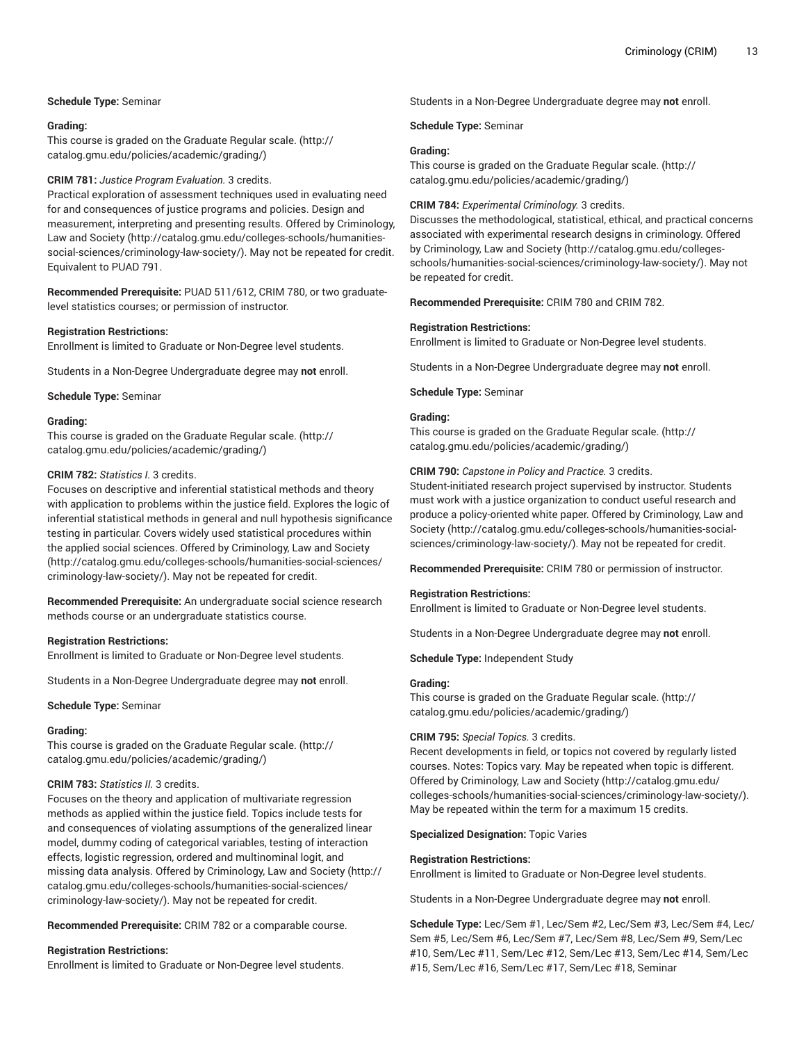## **Schedule Type:** Seminar

#### **Grading:**

This course is graded on the [Graduate Regular scale.](http://catalog.gmu.edu/policies/academic/grading/) [\(http://](http://catalog.gmu.edu/policies/academic/grading/) [catalog.gmu.edu/policies/academic/grading/\)](http://catalog.gmu.edu/policies/academic/grading/)

## **CRIM 781:** *Justice Program Evaluation.* 3 credits.

Practical exploration of assessment techniques used in evaluating need for and consequences of justice programs and policies. Design and measurement, interpreting and presenting results. Offered by [Criminology,](http://catalog.gmu.edu/colleges-schools/humanities-social-sciences/criminology-law-society/) [Law and Society](http://catalog.gmu.edu/colleges-schools/humanities-social-sciences/criminology-law-society/) ([http://catalog.gmu.edu/colleges-schools/humanities](http://catalog.gmu.edu/colleges-schools/humanities-social-sciences/criminology-law-society/)[social-sciences/criminology-law-society/\)](http://catalog.gmu.edu/colleges-schools/humanities-social-sciences/criminology-law-society/). May not be repeated for credit. Equivalent to PUAD 791.

**Recommended Prerequisite:** PUAD 511/612, CRIM 780, or two graduatelevel statistics courses; or permission of instructor.

#### **Registration Restrictions:**

Enrollment is limited to Graduate or Non-Degree level students.

Students in a Non-Degree Undergraduate degree may **not** enroll.

**Schedule Type:** Seminar

#### **Grading:**

This course is graded on the [Graduate Regular scale.](http://catalog.gmu.edu/policies/academic/grading/) [\(http://](http://catalog.gmu.edu/policies/academic/grading/) [catalog.gmu.edu/policies/academic/grading/\)](http://catalog.gmu.edu/policies/academic/grading/)

#### **CRIM 782:** *Statistics I.* 3 credits.

Focuses on descriptive and inferential statistical methods and theory with application to problems within the justice field. Explores the logic of inferential statistical methods in general and null hypothesis significance testing in particular. Covers widely used statistical procedures within the applied social sciences. Offered by [Criminology,](http://catalog.gmu.edu/colleges-schools/humanities-social-sciences/criminology-law-society/) Law and Society ([http://catalog.gmu.edu/colleges-schools/humanities-social-sciences/](http://catalog.gmu.edu/colleges-schools/humanities-social-sciences/criminology-law-society/) [criminology-law-society/](http://catalog.gmu.edu/colleges-schools/humanities-social-sciences/criminology-law-society/)). May not be repeated for credit.

**Recommended Prerequisite:** An undergraduate social science research methods course or an undergraduate statistics course.

### **Registration Restrictions:**

Enrollment is limited to Graduate or Non-Degree level students.

Students in a Non-Degree Undergraduate degree may **not** enroll.

#### **Schedule Type:** Seminar

### **Grading:**

This course is graded on the [Graduate Regular scale.](http://catalog.gmu.edu/policies/academic/grading/) [\(http://](http://catalog.gmu.edu/policies/academic/grading/) [catalog.gmu.edu/policies/academic/grading/\)](http://catalog.gmu.edu/policies/academic/grading/)

### **CRIM 783:** *Statistics II.* 3 credits.

Focuses on the theory and application of multivariate regression methods as applied within the justice field. Topics include tests for and consequences of violating assumptions of the generalized linear model, dummy coding of categorical variables, testing of interaction effects, logistic regression, ordered and multinominal logit, and missing data analysis. Offered by [Criminology,](http://catalog.gmu.edu/colleges-schools/humanities-social-sciences/criminology-law-society/) Law and Society ([http://](http://catalog.gmu.edu/colleges-schools/humanities-social-sciences/criminology-law-society/) [catalog.gmu.edu/colleges-schools/humanities-social-sciences/](http://catalog.gmu.edu/colleges-schools/humanities-social-sciences/criminology-law-society/) [criminology-law-society/](http://catalog.gmu.edu/colleges-schools/humanities-social-sciences/criminology-law-society/)). May not be repeated for credit.

**Recommended Prerequisite:** CRIM 782 or a comparable course.

### **Registration Restrictions:**

Enrollment is limited to Graduate or Non-Degree level students.

Students in a Non-Degree Undergraduate degree may **not** enroll.

**Schedule Type:** Seminar

#### **Grading:**

This course is graded on the [Graduate Regular scale.](http://catalog.gmu.edu/policies/academic/grading/) ([http://](http://catalog.gmu.edu/policies/academic/grading/) [catalog.gmu.edu/policies/academic/grading/](http://catalog.gmu.edu/policies/academic/grading/))

#### **CRIM 784:** *Experimental Criminology.* 3 credits.

Discusses the methodological, statistical, ethical, and practical concerns associated with experimental research designs in criminology. Offered by [Criminology,](http://catalog.gmu.edu/colleges-schools/humanities-social-sciences/criminology-law-society/) Law and Society [\(http://catalog.gmu.edu/colleges](http://catalog.gmu.edu/colleges-schools/humanities-social-sciences/criminology-law-society/)[schools/humanities-social-sciences/criminology-law-society/](http://catalog.gmu.edu/colleges-schools/humanities-social-sciences/criminology-law-society/)). May not be repeated for credit.

**Recommended Prerequisite:** CRIM 780 and CRIM 782.

### **Registration Restrictions:**

Enrollment is limited to Graduate or Non-Degree level students.

Students in a Non-Degree Undergraduate degree may **not** enroll.

#### **Schedule Type:** Seminar

## **Grading:**

This course is graded on the [Graduate Regular scale.](http://catalog.gmu.edu/policies/academic/grading/) ([http://](http://catalog.gmu.edu/policies/academic/grading/) [catalog.gmu.edu/policies/academic/grading/](http://catalog.gmu.edu/policies/academic/grading/))

## **CRIM 790:** *Capstone in Policy and Practice.* 3 credits.

Student-initiated research project supervised by instructor. Students must work with a justice organization to conduct useful research and produce a policy-oriented white paper. Offered by [Criminology,](http://catalog.gmu.edu/colleges-schools/humanities-social-sciences/criminology-law-society/) Law and [Society](http://catalog.gmu.edu/colleges-schools/humanities-social-sciences/criminology-law-society/) ([http://catalog.gmu.edu/colleges-schools/humanities-social](http://catalog.gmu.edu/colleges-schools/humanities-social-sciences/criminology-law-society/)[sciences/criminology-law-society/\)](http://catalog.gmu.edu/colleges-schools/humanities-social-sciences/criminology-law-society/). May not be repeated for credit.

**Recommended Prerequisite:** CRIM 780 or permission of instructor.

#### **Registration Restrictions:**

Enrollment is limited to Graduate or Non-Degree level students.

Students in a Non-Degree Undergraduate degree may **not** enroll.

**Schedule Type:** Independent Study

### **Grading:**

This course is graded on the [Graduate Regular scale.](http://catalog.gmu.edu/policies/academic/grading/) ([http://](http://catalog.gmu.edu/policies/academic/grading/) [catalog.gmu.edu/policies/academic/grading/](http://catalog.gmu.edu/policies/academic/grading/))

## **CRIM 795:** *Special Topics.* 3 credits.

Recent developments in field, or topics not covered by regularly listed courses. Notes: Topics vary. May be repeated when topic is different. Offered by [Criminology,](http://catalog.gmu.edu/colleges-schools/humanities-social-sciences/criminology-law-society/) Law and Society ([http://catalog.gmu.edu/](http://catalog.gmu.edu/colleges-schools/humanities-social-sciences/criminology-law-society/) [colleges-schools/humanities-social-sciences/criminology-law-society/](http://catalog.gmu.edu/colleges-schools/humanities-social-sciences/criminology-law-society/)). May be repeated within the term for a maximum 15 credits.

#### **Specialized Designation:** Topic Varies

#### **Registration Restrictions:**

Enrollment is limited to Graduate or Non-Degree level students.

Students in a Non-Degree Undergraduate degree may **not** enroll.

**Schedule Type:** Lec/Sem #1, Lec/Sem #2, Lec/Sem #3, Lec/Sem #4, Lec/ Sem #5, Lec/Sem #6, Lec/Sem #7, Lec/Sem #8, Lec/Sem #9, Sem/Lec #10, Sem/Lec #11, Sem/Lec #12, Sem/Lec #13, Sem/Lec #14, Sem/Lec #15, Sem/Lec #16, Sem/Lec #17, Sem/Lec #18, Seminar